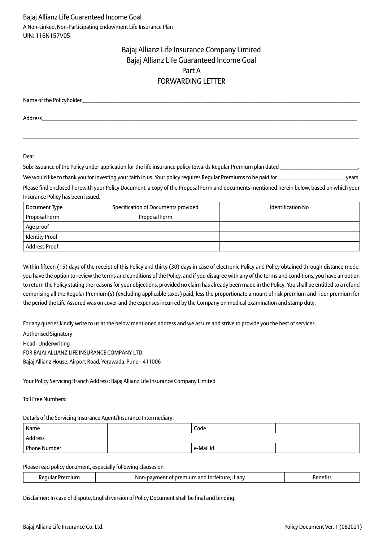# Bajaj Allianz Life Insurance Company Limited Bajaj Allianz Life Guaranteed Income Goal Part A FORWARDING LETTER

| Name of the Policyholder_ |  |  |
|---------------------------|--|--|
| Address                   |  |  |

 $\_$  ,  $\_$  ,  $\_$  ,  $\_$  ,  $\_$  ,  $\_$  ,  $\_$  ,  $\_$  ,  $\_$  ,  $\_$  ,  $\_$  ,  $\_$  ,  $\_$  ,  $\_$  ,  $\_$  ,  $\_$  ,  $\_$  ,  $\_$  ,  $\_$  ,  $\_$  ,  $\_$  ,  $\_$  ,  $\_$  ,  $\_$  ,  $\_$  ,  $\_$  ,  $\_$  ,  $\_$  ,  $\_$  ,  $\_$  ,  $\_$  ,  $\_$  ,  $\_$  ,  $\_$  ,  $\_$  ,  $\_$  ,  $\_$  ,

Dear\_\_\_\_\_\_\_\_\_\_\_\_\_\_\_\_\_\_\_\_\_\_\_\_\_\_\_\_\_\_\_\_\_\_\_\_\_\_\_\_\_\_\_\_\_\_\_\_\_\_\_\_\_\_\_\_\_\_\_

| Sub: Issuance of the Policy under application for the life insurance policy towards Regular Premium plan dated                            |  |
|-------------------------------------------------------------------------------------------------------------------------------------------|--|
| We would like to thank you for investing your faith in us. Your policy requires Regular Premiums to be paid for<br>vears.                 |  |
| Please find enclosed herewith your Policy Document, a copy of the Proposal Form and documents mentioned herein below, based on which your |  |
| Insurance Policy has been issued.                                                                                                         |  |

| Document Type         | Specification of Documents provided | <b>Identification No</b> |
|-----------------------|-------------------------------------|--------------------------|
| Proposal Form         | Proposal Form                       |                          |
| Age proof             |                                     |                          |
| <b>Identity Proof</b> |                                     |                          |
| <b>Address Proof</b>  |                                     |                          |

Within fifteen (15) days of the receipt of this Policy and thirty (30) days in case of electronic Policy and Policy obtained through distance mode, you have the option to review the terms and conditions of the Policy, and if you disagree with any of the terms and conditions, you have an option to return the Policy stating the reasons for your objections, provided no claim has already been made in the Policy. You shall be entitled to a refund comprising all the Regular Premium(s) (excluding applicable taxes) paid, less the proportionate amount of risk premium and rider premium for the period the Life Assured was on cover and the expenses incurred by the Company on medical examination and stamp duty.

For any queries kindly write to us at the below mentioned address and we assure and strive to provide you the best of services.

Authorised Signatory

Head- Underwriting

FOR BAJAJ ALLIANZ LIFE INSURANCE COMPANY LTD.

Bajaj Allianz House, Airport Road, Yerawada, Pune - 411006

Your Policy Servicing Branch Address: Bajaj Allianz Life Insurance Company Limited

Toll Free Numbers:

Details of the Servicing Insurance Agent/Insurance Intermediary:

| Name         | Code      |  |
|--------------|-----------|--|
| Address      |           |  |
| Phone Number | e-Mail Id |  |

Please read policy document, especially following clauses on

| . | . it anv<br>Nor<br>TOLTE<br>emitim and<br>-navr<br>nre<br>ΩT<br><br>. ۳ |  |
|---|-------------------------------------------------------------------------|--|
|   |                                                                         |  |

Disclaimer: In case of dispute, English version of Policy Document shall be final and binding.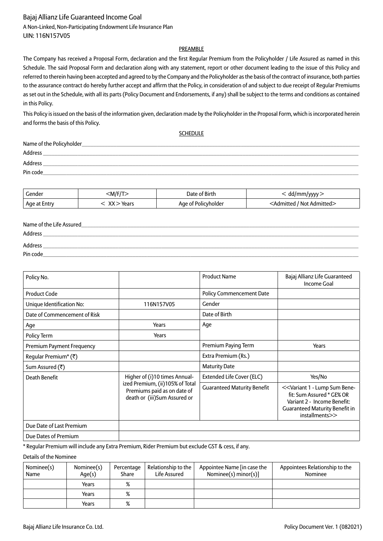A Non-Linked, Non-Participating Endowment Life Insurance Plan UIN: 116N157V05

### PREAMBLE

The Company has received a Proposal Form, declaration and the first Regular Premium from the Policyholder / Life Assured as named in this Schedule. The said Proposal Form and declaration along with any statement, report or other document leading to the issue of this Policy and referred to therein having been accepted and agreed to by the Company and the Policyholder as the basis of the contract of insurance, both parties to the assurance contract do hereby further accept and affirm that the Policy, in consideration of and subject to due receipt of Regular Premiums as set out in the Schedule, with all its parts (Policy Document and Endorsements, if any) shall be subject to the terms and conditions as contained in this Policy.

This Policy is issued on the basis of the information given, declaration made by the Policyholder in the Proposal Form, which is incorporated herein and forms the basis of this Policy.

SCHEDULE

| Name of the Policyholder_ |
|---------------------------|
| Address                   |
| Address                   |
| Pin code                  |

| Gender         | :M/F/T       | $\Delta$ ate of Birth | dd/mm/vvv                                |
|----------------|--------------|-----------------------|------------------------------------------|
| , Age at Entry | $XX >$ Years | Age of Policyholder   | <admitted admitted="" not=""></admitted> |

| Name of the Life Assured |  |
|--------------------------|--|
| <b>Address</b>           |  |
| <b>Address</b>           |  |
| Pin code                 |  |

| Policy No.                       |                                                                                                | <b>Product Name</b>                | Bajaj Allianz Life Guaranteed<br><b>Income Goal</b>                                                                                                                                    |
|----------------------------------|------------------------------------------------------------------------------------------------|------------------------------------|----------------------------------------------------------------------------------------------------------------------------------------------------------------------------------------|
| <b>Product Code</b>              |                                                                                                | <b>Policy Commencement Date</b>    |                                                                                                                                                                                        |
| Unique Identification No:        | 116N157V05                                                                                     | Gender                             |                                                                                                                                                                                        |
| Date of Commencement of Risk     |                                                                                                | Date of Birth                      |                                                                                                                                                                                        |
| Age                              | Years                                                                                          | Age                                |                                                                                                                                                                                        |
| Policy Term                      | Years                                                                                          |                                    |                                                                                                                                                                                        |
| Premium Payment Frequency        |                                                                                                | Premium Paying Term                | Years                                                                                                                                                                                  |
| Regular Premium <sup>*</sup> (₹) |                                                                                                | Extra Premium (Rs.)                |                                                                                                                                                                                        |
| Sum Assured (₹)                  |                                                                                                | <b>Maturity Date</b>               |                                                                                                                                                                                        |
| Death Benefit                    | Higher of (i)10 times Annual-                                                                  | Extended Life Cover (ELC)          | Yes/No                                                                                                                                                                                 |
|                                  | ized Premium, (ii)105% of Total<br>Premiums paid as on date of<br>death or (iii)Sum Assured or | <b>Guaranteed Maturity Benefit</b> | < <variant -="" 1="" bene-<br="" lump="" sum="">fit: Sum Assured * GE% OR<br/>Variant 2 - Income Benefit:<br/><b>Guaranteed Maturity Benefit in</b><br/>installments&gt;&gt;</variant> |
| Due Date of Last Premium         |                                                                                                |                                    |                                                                                                                                                                                        |
| Due Dates of Premium             |                                                                                                |                                    |                                                                                                                                                                                        |

\* Regular Premium will include any Extra Premium, Rider Premium but exclude GST & cess, if any.

Details of the Nominee

| Nominee(s)<br>Name | Nominee(s)<br>Age(s) | Percentage<br>Share | Relationship to the<br>Life Assured | Appointee Name [in case the<br>Nominee(s) $minor(s)$ ] | Appointees Relationship to the<br>Nominee |
|--------------------|----------------------|---------------------|-------------------------------------|--------------------------------------------------------|-------------------------------------------|
|                    | Years                | %                   |                                     |                                                        |                                           |
|                    | Years                | %                   |                                     |                                                        |                                           |
|                    | Years                | %                   |                                     |                                                        |                                           |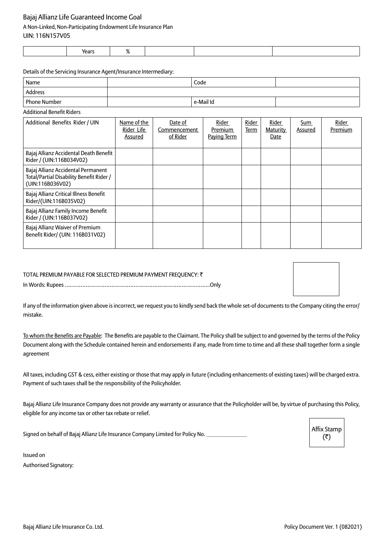## A Non-Linked, Non-Participating Endowment Life Insurance Plan

UIN: 116N157V05

| ,,,,,,<br>τται ν |  |  |
|------------------|--|--|
|                  |  |  |

Details of the Servicing Insurance Agent/Insurance Intermediary:

| Name                | Code      |  |
|---------------------|-----------|--|
| Address             |           |  |
| <b>Phone Number</b> | e-Mail Id |  |
|                     |           |  |

Additional Benefit Riders

| Additional Benefits Rider / UIN                                                                    | Name of the<br>Rider Life<br>Assured | Date of<br>Commencement<br>of Rider | Rider<br><b>Premium</b><br>Paying Term | <b>Rider</b><br>Term | Rider<br><b>Maturity</b><br>Date | <u>Sum</u><br>Assured | Rider<br>Premium |
|----------------------------------------------------------------------------------------------------|--------------------------------------|-------------------------------------|----------------------------------------|----------------------|----------------------------------|-----------------------|------------------|
| Bajaj Allianz Accidental Death Benefit<br>Rider / (UIN:116B034V02)                                 |                                      |                                     |                                        |                      |                                  |                       |                  |
| Bajaj Allianz Accidental Permanent<br>Total/Partial Disability Benefit Rider /<br>(UIN:116B036V02) |                                      |                                     |                                        |                      |                                  |                       |                  |
| Bajaj Allianz Critical Illness Benefit<br>Rider/(UIN:116B035V02)                                   |                                      |                                     |                                        |                      |                                  |                       |                  |
| Bajaj Allianz Family Income Benefit<br>Rider / (UIN:116B037V02)                                    |                                      |                                     |                                        |                      |                                  |                       |                  |
| Bajaj Allianz Waiver of Premium<br>Benefit Rider/ (UIN: 116B031V02)                                |                                      |                                     |                                        |                      |                                  |                       |                  |

# TOTAL PREMIUM PAYABLE FOR SELECTED PREMIUM PAYMENT FREQUENCY: ₹ In Words: Rupees ……………………………………………………………………………….Only

| the control of the control of the |  |  |
|-----------------------------------|--|--|
|                                   |  |  |
|                                   |  |  |

If any of the information given above is incorrect, we request you to kindly send back the whole set-of documents to the Company citing the error/ mistake.

To whom the Benefits are Payable: The Benefits are payable to the Claimant. The Policy shall be subject to and governed by the terms of the Policy Document along with the Schedule contained herein and endorsements if any, made from time to time and all these shall together form a single agreement

All taxes, including GST & cess, either existing or those that may apply in future (including enhancements of existing taxes) will be charged extra. Payment of such taxes shall be the responsibility of the Policyholder.

Bajaj Allianz Life Insurance Company does not provide any warranty or assurance that the Policyholder will be, by virtue of purchasing this Policy, eligible for any income tax or other tax rebate or relief.

Signed on behalf of Bajaj Allianz Life Insurance Company Limited for Policy No.

Affix Stamp  $(3)$ 

Issued on Authorised Signatory: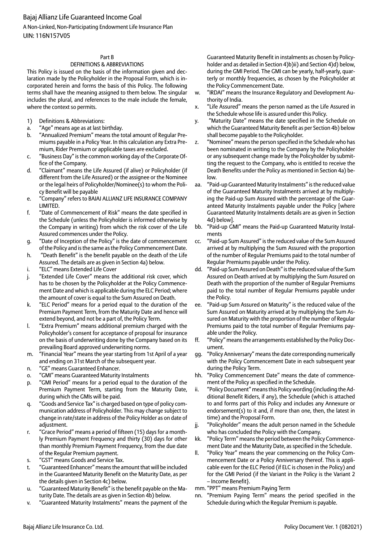A Non-Linked, Non-Participating Endowment Life Insurance Plan UIN: 116N157V05

### Part B

### DEFINITIONS & ABBREVIATIONS

This Policy is issued on the basis of the information given and declaration made by the Policyholder in the Proposal Form, which is incorporated herein and forms the basis of this Policy. The following terms shall have the meaning assigned to them below. The singular includes the plural, and references to the male include the female, where the context so permits.

- 1) Definitions & Abbreviations:
- a. "Age" means age as at last birthday.
- b. "Annualized Premium" means the total amount of Regular Premiums payable in a Policy Year. In this calculation any Extra Premium, Rider Premium or applicable taxes are excluded.
- c. "Business Day" is the common working day of the Corporate Office of the Company.
- d. "Claimant" means the Life Assured (if alive) or Policyholder (if different from the Life Assured) or the assignee or the Nominee or the legal heirs of Policyholder/Nominee(s) to whom the Policy Benefit will be payable
- e. "Company" refers to BAJAJ ALLIANZ LIFE INSURANCE COMPANY LIMITED.
- f. "Date of Commencement of Risk" means the date specified in the Schedule (unless the Policyholder is informed otherwise by the Company in writing) from which the risk cover of the Life Assured commences under the Policy.
- g. "Date of Inception of the Policy" is the date of commencement of the Policy and is the same as the Policy Commencement Date.
- h. "Death Benefit" is the benefit payable on the death of the Life Assured. The details are as given in Section 4a) below.
- i. "ELC" means Extended Life Cover
- j. "Extended Life Cover" means the additional risk cover, which has to be chosen by the Policyholder at the Policy Commencement Date and which is applicable during the ELC Period; where the amount of cover is equal to the Sum Assured on Death.
- k. "ELC Period" means for a period equal to the duration of the Premium Payment Term, from the Maturity Date and hence will extend beyond, and not be a part of, the Policy Term.
- l. "Extra Premium" means additional premium charged with the Policyholder's consent for acceptance of proposal for insurance on the basis of underwriting done by the Company based on its prevailing Board approved underwriting norms.
- m. "Financial Year" means the year starting from 1st April of a year and ending on 31st March of the subsequent year.
- n. "GE" means Guaranteed Enhancer.
- o. "GMI" means Guaranteed Maturity Instalments
- p. "GMI Period" means for a period equal to the duration of the Premium Payment Term, starting from the Maturity Date, during which the GMIs will be paid.
- q. "Goods and Service Tax" is charged based on type of policy communication address of Policyholder. This may change subject to change in rate/state in address of the Policy Holder as on date of adjustment.
- r. "Grace Period" means a period of fifteen (15) days for a monthly Premium Payment Frequency and thirty (30) days for other than monthly Premium Payment Frequency, from the due date of the Regular Premium payment.
- s. "GST" means Goods and Service Tax.
- t. "Guaranteed Enhancer" means the amount that will be included in the Guaranteed Maturity Benefit on the Maturity Date, as per the details given in Section 4c) below.
- u. "Guaranteed Maturity Benefit" is the benefit payable on the Maturity Date. The details are as given in Section 4b) below.
- v. "Guaranteed Maturity Instalments" means the payment of the

Guaranteed Maturity Benefit in instalments as chosen by Policyholder and as detailed in Section 4)b)ii) and Section 4)d) below, during the GMI Period. The GMI can be yearly, half-yearly, quarterly or monthly frequencies, as chosen by the Policyholder at the Policy Commencement Date.

- w. "IRDAI" means the Insurance Regulatory and Development Authority of India.
- x. "Life Assured" means the person named as the Life Assured in the Schedule whose life is assured under this Policy.
- y. "Maturity Date" means the date specified in the Schedule on which the Guaranteed Maturity Benefit as per Section 4b) below shall become payable to the Policyholder.
- z. "Nominee" means the person specified in the Schedule who has been nominated in writing to the Company by the Policyholder or any subsequent change made by the Policyholder by submitting the request to the Company, who is entitled to receive the Death Benefits under the Policy as mentioned in Section 4a) below.
- aa. "Paid-up Guaranteed Maturity Instalments" is the reduced value of the Guaranteed Maturity Instalments arrived at by multiplying the Paid-up Sum Assured with the percentage of the Guaranteed Maturity Instalments payable under the Policy [where Guaranteed Maturity Instalments details are as given in Section 4d) below].
- bb. "Paid-up GMI" means the Paid-up Guaranteed Maturity Instalments
- cc. "Paid-up Sum Assured" is the reduced value of the Sum Assured arrived at by multiplying the Sum Assured with the proportion of the number of Regular Premiums paid to the total number of Regular Premiums payable under the Policy.
- dd. "Paid-up Sum Assured on Death" is the reduced value of the Sum Assured on Death arrived at by multiplying the Sum Assured on Death with the proportion of the number of Regular Premiums paid to the total number of Regular Premiums payable under the Policy.
- ee. "Paid-up Sum Assured on Maturity" is the reduced value of the Sum Assured on Maturity arrived at by multiplying the Sum Assured on Maturity with the proportion of the number of Regular Premiums paid to the total number of Regular Premiums payable under the Policy.
- ff. "Policy" means the arrangements established by the Policy Document.
- gg. "Policy Anniversary" means the date corresponding numerically with the Policy Commencement Date in each subsequent year during the Policy Term.
- hh. "Policy Commencement Date" means the date of commencement of the Policy as specified in the Schedule.
- ii. "Policy Document" means this Policy wording (including the Additional Benefit Riders, if any), the Schedule (which is attached to and forms part of this Policy and includes any Annexure or endorsement(s) to it and, if more than one, then, the latest in time) and the Proposal Form.
- jj. "Policyholder" means the adult person named in the Schedule who has concluded the Policy with the Company.
- kk. "Policy Term" means the period between the Policy Commencement Date and the Maturity Date, as specified in the Schedule.
- ll. "Policy Year" means the year commencing on the Policy Commencement Date or a Policy Anniversary thereof. This is applicable even for the ELC Period (if ELC is chosen in the Policy) and for the GMI Period (if the Variant in the Policy is the Variant 2 – Income Benefit}.
- mm. "PPT" means Premium Paying Term
- nn. "Premium Paying Term" means the period specified in the Schedule during which the Regular Premium is payable.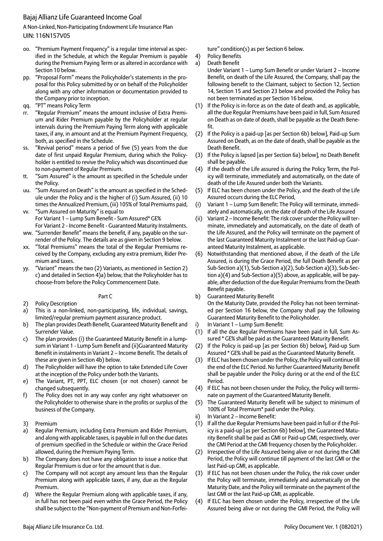A Non-Linked, Non-Participating Endowment Life Insurance Plan UIN: 116N157V05

- oo. "Premium Payment Frequency" is a regular time interval as specified in the Schedule, at which the Regular Premium is payable during the Premium Paying Term or as altered in accordance with Section 10 below.
- pp. "Proposal Form" means the Policyholder's statements in the proposal for this Policy submitted by or on behalf of the Policyholder along with any other information or documentation provided to the Company prior to inception.
- qq. "PT" means Policy Term
- rr. "Regular Premium" means the amount inclusive of Extra Premium and Rider Premium payable by the Policyholder at regular intervals during the Premium Paying Term along with applicable taxes, if any, in amount and at the Premium Payment Frequency, both, as specified in the Schedule.
- ss. "Revival period" means a period of five (5) years from the due date of first unpaid Regular Premium, during which the Policyholder is entitled to revive the Policy which was discontinued due to non-payment of Regular Premium.
- tt. "Sum Assured" is the amount as specified in the Schedule under the Policy.
- uu. "Sum Assured on Death" is the amount as specified in the Schedule under the Policy and is the higher of (i) Sum Assured, (ii) 10 times the Annualized Premium, (iii) 105% of Total Premiums paid,
- vv. "Sum Assured on Maturity" is equal to For Variant 1 – Lump Sum Benefit - Sum Assured\* GE% For Variant 2 - Income Benefit - Guaranteed Maturity Instalments.
- ww. "Surrender Benefit" means the benefit, if any, payable on the surrender of the Policy. The details are as given in Section 9 below.
- xx. "Total Premiums" means the total of the Regular Premiums received by the Company, excluding any extra premium, Rider Premium and taxes.
- yy. "Variant" means the two (2) Variants, as mentioned in Section 2) c) and detailed in Section 4)a) below, that the Policyholder has to choose-from before the Policy Commencement Date.
- 2) Policy Description
- a) This is a non-linked, non-participating, life, individual, savings, limited/regular premium payment assurance product.

Part C

- b) The plan provides Death Benefit, Guaranteed Maturity Benefit and Surrender Value.
- c) The plan provides (i) the Guaranteed Maturity Benefit in a lumpsum in Variant 1 - Lump Sum Benefit and (ii)Guaranteed Maturity Benefit in instalments in Variant 2 – Income Benefit. The details of these are given in Section 4b) below.
- d) The Policyholder will have the option to take Extended Life Cover at the inception of the Policy under both the Variants.
- e) The Variant, PT, PPT, ELC chosen (or not chosen) cannot be changed subsequently.
- f) The Policy does not in any way confer any right whatsoever on the Policyholder to otherwise share in the profits or surplus of the business of the Company.
- 3) Premium
- a) Regular Premium, including Extra Premium and Rider Premium, and along with applicable taxes, is payable in full on the due dates of premium specified in the Schedule or within the Grace Period allowed, during the Premium Paying Term.
- b) The Company does not have any obligation to issue a notice that Regular Premium is due or for the amount that is due.
- c) The Company will not accept any amount less than the Regular Premium along with applicable taxes, if any, due as the Regular Premium.
- d) Where the Regular Premium along with applicable taxes, if any, in full has not been paid even within the Grace Period, the Policy shall be subject to the "Non-payment of Premium and Non-Forfei-

ture" condition(s) as per Section 6 below.

- 4) Policy Benefits
- a) Death Benefit
	- Under Variant 1 Lump Sum Benefit or under Variant 2 Income Benefit, on death of the Life Assured, the Company, shall pay the following benefit to the Claimant, subject to Section 12, Section 14, Section 15 and Section 23 below and provided the Policy has not been terminated as per Section 16 below.
- (1) If the Policy is in-force as on the date of death and, as applicable, all the due Regular Premiums have been paid in full, Sum Assured on Death as on date of death, shall be payable as the Death Benefit.
- (2) If the Policy is a paid-up [as per Section 6b) below], Paid-up Sum Assured on Death, as on the date of death, shall be payable as the Death Benefit.
- (3) If the Policy is lapsed [as per Section 6a) below], no Death Benefit shall be payable.
- (4) If the death of the Life assured is during the Policy Term, the Policy will terminate, immediately and automatically, on the date of death of the Life Assured under both the Variants.
- (5) If ELC has been chosen under the Policy, and the death of the Life Assured occurs during the ELC Period,
- (i) Variant 1 Lump Sum Benefit: The Policy will terminate, immediately and automatically, on the date of death of the Life Assured
- (ii) Variant 2 Income Benefit: The risk cover under the Policy will terminate, immediately and automatically, on the date of death of the Life Assured, and the Policy will terminate on the payment of the last Guaranteed Maturity Instalment or the last Paid-up Guaranteed Maturity Instalment, as applicable.
- (6) Notwithstanding that mentioned above, if the death of the Life Assured, is during the Grace Period, the full Death Benefit as per Sub-Section a)(1), Sub-Section a)(2), Sub-Section a)(3), Sub-Section a)(4) and Sub-Section a)(5) above, as applicable, will be payable, after deduction of the due Regular Premiums from the Death Benefit payable.
- b) Guaranteed Maturity Benefit On the Maturity Date, provided the Policy has not been terminated per Section 16 below, the Company shall pay the following Guaranteed Maturity Benefit to the Policyholder.
- i) In Variant 1 Lump Sum Benefit:
- (1) If all the due Regular Premiums have been paid in full, Sum Assured \* GE% shall be paid as the Guaranteed Maturity Benefit.
- (2) If the Policy is paid-up [as per Section 6b) below], Paid-up Sum Assured \* GE% shall be paid as the Guaranteed Maturity Benefit.
- (3) If ELC has been chosen under the Policy, the Policy will continue till the end of the ELC Period. No further Guaranteed Maturity Benefit shall be payable under the Policy during or at the end of the ELC Period.
- (4) If ELC has not been chosen under the Policy, the Policy will terminate on payment of the Guaranteed Maturity Benefit.
- (5) The Guaranteed Maturity Benefit will be subject to minimum of 100% of Total Premium\* paid under the Policy.
- ii) In Variant 2 Income Benefit:
- (1) If all the due Regular Premiums have been paid in full or if the Policy is a paid-up [as per Section 6b) below], the Guaranteed Maturity Benefit shall be paid as GMI or Paid-up GMI, respectively, over the GMI Period at the GMI frequency chosen by the Policyholder.
- (2) Irrespective of the Life Assured being alive or not during the GMI Period, the Policy will continue till payment of the last GMI or the last Paid-up GMI, as applicable.
- (3) If ELC has not been chosen under the Policy, the risk cover under the Policy will terminate, immediately and automatically on the Maturity Date, and the Policy will terminate on the payment of the last GMI or the last Paid-up GMI, as applicable.
- (4) If ELC has been chosen under the Policy, irrespective of the Life Assured being alive or not during the GMI Period, the Policy will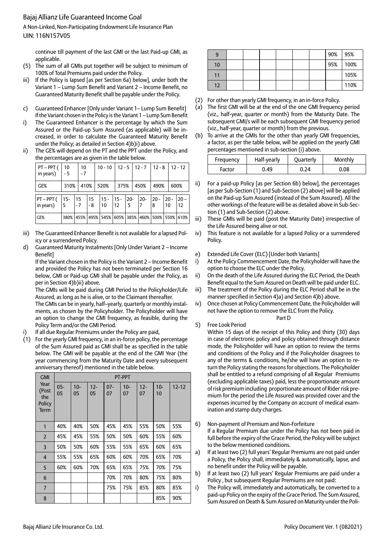A Non-Linked, Non-Participating Endowment Life Insurance Plan UIN: 116N157V05

continue till payment of the last GMI or the last Paid-up GMI, as applicable.

- (5) The sum of all GMIs put together will be subject to minimum of 100% of Total Premiums paid under the Policy.
- iii) If the Policy is lapsed [as per Section 6a) below], under both the Variant 1 – Lump Sum Benefit and Variant 2 – Income Benefit, no Guaranteed Maturity Benefit shall be payable under the Policy.
- c) Guaranteed Enhancer [Only under Variant 1– Lump Sum Benefit] If the Variant chosen in the Policy is the Variant 1 – Lump Sum Benefit
- i) The Guaranteed Enhancer is the percentage by which the Sum Assured or the Paid-up Sum Assured (as applicable) will be increased, in order to calculate the Guaranteed Maturity Benefit under the Policy; as detailed in Section 4)b)i) above.
- ii) The GE% will depend on the PT and the PPT under the Policy, and the percentages are as given in the table below.

| PT – PPT (<br>in years)  | 10<br>- 5 | 10<br>$-7$ |      | $10 - 10$                                         |                   |   |      | $12 - 512 - 712 - 8$ |               | $12 - 12$    |
|--------------------------|-----------|------------|------|---------------------------------------------------|-------------------|---|------|----------------------|---------------|--------------|
| GE%                      | 310%      |            | 410% | 520%                                              | 375%              |   | 450% | 490%                 |               | 600%         |
| $PT - PPT($<br>in years) | 5         | $-7$       | $-8$ | 15-  15  15  15-  15-  20-  20-  20-<br>  10      | $12 \overline{ }$ | 5 |      | 8                    | $120 -$<br>10 | $20 -$<br>12 |
| GE%                      |           |            |      | 380% 455% 495% 545% 605% 385% 460% 500% 550% 610% |                   |   |      |                      |               |              |

- iii) The Guaranteed Enhancer Benefit is not available for a lapsed Policy or a surrendered Policy.
- d) Guaranteed Maturity Instalments [Only Under Variant 2 Income Benefit]

If the Variant chosen in the Policy is the Variant 2 – Income Benefit and provided the Policy has not been terminated per Section 16 below, GMI or Paid-up GMI shall be payable under the Policy, as per in Section 4)b)ii) above.

The GMIs will be paid during GMI Period to the Policyholder/Life Assured, as long as he is alive, or to the Claimant thereafter.

The GMIs can be in yearly, half–yearly, quarterly or monthly instalments, as chosen by the Policyholder. The Policyholder will have an option to change the GMI frequency, as feasible, during the Policy Term and/or the GMI Period.

- If all due Regular Premiums under the Policy are paid,
- (1) For the yearly GMI frequency, in an in-force policy, the percentage of the Sum Assured paid as GMI shall be as specified in the table below. The GMI will be payable at the end of the GMI Year (the year commencing from the Maturity Date and every subsequent anniversary thereof) mentioned in the table below.

| <b>GMI</b>                                    |              |              |              |              | PT-PPT       |              |              |           |
|-----------------------------------------------|--------------|--------------|--------------|--------------|--------------|--------------|--------------|-----------|
| Year<br>(Post<br>the<br>Policy<br><b>Term</b> | $05 -$<br>05 | $10 -$<br>05 | $12 -$<br>05 | $07 -$<br>07 | $10 -$<br>07 | $12 -$<br>07 | $10 -$<br>10 | $12 - 12$ |
| 1                                             | 40%          | 40%          | 50%          | 45%          | 45%          | 55%          | 50%          | 55%       |
| $\overline{2}$                                | 45%          | 45%          | 55%          | 50%          | 50%          | 60%          | 55%          | 60%       |
| 3                                             | 50%          | 50%          | 60%          | 55%          | 55%          | 65%          | 60%          | 65%       |
| $\overline{4}$                                | 55%          | 55%          | 65%          | 60%          | 60%          | 70%          | 65%          | 70%       |
| 5                                             | 60%          | 60%          | 70%          | 65%          | 65%          | 75%          | 70%          | 75%       |
| 6                                             |              |              |              | 70%          | 70%          | 80%          | 75%          | 80%       |
| $\overline{\mathbf{z}}$                       |              |              |              | 75%          | 75%          | 85%          | 80%          | 85%       |
| 8                                             |              |              |              |              |              |              | 85%          | 90%       |

| 9  |  |  |  | 90% | 95%  |
|----|--|--|--|-----|------|
| 10 |  |  |  | 95% | 100% |
|    |  |  |  |     | 105% |
| 12 |  |  |  |     | 110% |

- (2) For other than yearly GMI frequency, in an in-force Policy.
- (a) The first GMI will be at the end of the one GMI frequency period (viz., half-year, quarter or month) from the Maturity Date. The subsequent GMI/s will be each subsequent GMI frequency period (viz., half-year, quarter or month) from the previous.
- (b) To arrive at the GMIs for the other than yearly GMI frequencies, a factor, as per the table below, will be applied on the yearly GMI percentages mentioned in sub-section (i) above.

| Frequency | Half-yearly | Quarterly | Monthly |
|-----------|-------------|-----------|---------|
| Factor    | 0.49        | 0.24      | 0.08    |

- For a paid-up Policy [as per Section 6b) below], the percentages [as per Sub-Section (1) and Sub-Section (2) above] will be applied on the Paid-up Sum Assured (instead of the Sum Assured). All the other workings of the feature will be as detailed above in Sub-Section (1) and Sub-Section (2) above.
- iii) These GMIs will be paid (post the Maturity Date) irrespective of the Life Assured being alive or not.
- iv) This feature is not available for a lapsed Policy or a surrendered Policy.
- e) Extended Life Cover (ELC) [Under both Variants]
- i) At the Policy Commencement Date, the Policyholder will have the option to choose the ELC under the Policy.
- ii) On the death of the Life Assured during the ELC Period, the Death Benefit equal to the Sum Assured on Death will be paid under ELC.
- iii) The treatment of the Policy during the ELC Period shall be in the manner specified in Section 4)a) and Section 4)b) above.
- iv) Once chosen at Policy Commencement Date, the Policyholder will not have the option to remove the ELC from the Policy. Part D

### 5) Free Look Period

Within 15 days of the receipt of this Policy and thirty (30) days in case of electronic policy and policy obtained through distance mode, the Policyholder will have an option to review the terms and conditions of the Policy and if the Policyholder disagrees to any of the terms & conditions, he/she will have an option to return the Policy stating the reasons for objections. The Policyholder shall be entitled to a refund comprising of all Regular Premiums (excluding applicable taxes) paid, less the proportionate amount of risk premium including proportionate amount of Rider risk premium for the period the Life Assured was provided cover and the expenses incurred by the Company on account of medical examination and stamp duty charges.

- 6) Non-payment of Premium and Non-Forfeiture If a Regular Premium due under the Policy has not been paid in full before the expiry of the Grace Period, the Policy will be subject to the below mentioned conditions.
- a) If at least two (2) full years' Regular Premiums are not paid under a Policy, the Policy shall, immediately & automatically, lapse, and no benefit under the Policy will be payable.
- b) If at least two (2) full years' Regular Premiums are paid under a Policy , but subsequent Regular Premiums are not paid:
- i) The Policy will, immediately and automatically, be converted to a paid-up Policy on the expiry of the Grace Period. The Sum Assured, Sum Assured on Death & Sum Assured on Maturity under the Poli-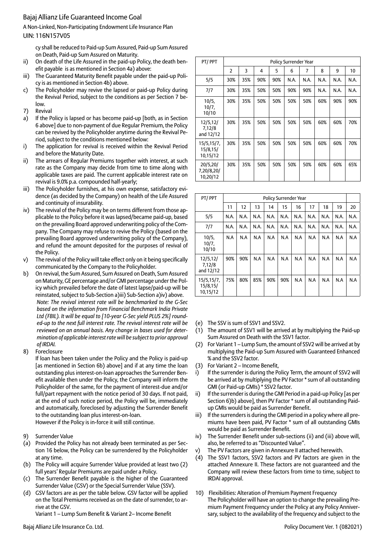A Non-Linked, Non-Participating Endowment Life Insurance Plan UIN: 116N157V05

cy shall be reduced to Paid-up Sum Assured, Paid-up Sum Assured on Death, Paid-up Sum Assured on Maturity.

- ii) On death of the Life Assured in the paid-up Policy, the death benefit payable is as mentioned in Section 4a) above:
- iii) The Guaranteed Maturity Benefit payable under the paid-up Policy is as mentioned in Section 4b) above.
- c) The Policyholder may revive the lapsed or paid-up Policy during the Revival Period, subject to the conditions as per Section 7 below.
- 7) Revival
- a) If the Policy is lapsed or has become paid-up [both, as in Section 6 above] due to non-payment of due Regular Premium, the Policy can be revived by the Policyholder anytime during the Revival Period, subject to the conditions mentioned below:
- i) The application for revival is received within the Revival Period and before the Maturity Date.
- ii) The arrears of Regular Premiums together with interest, at such rate as the Company may decide from time to time along with applicable taxes are paid. The current applicable interest rate on revival is 9.0% p.a. compounded half-yearly;
- iii) The Policyholder furnishes, at his own expense, satisfactory evidence (as decided by the Company) on health of the Life Assured and continuity of insurability.
- iv) The revival of the Policy may be on terms different from those applicable to the Policy before it was lapsed/became paid-up, based on the prevailing Board approved underwriting policy of the Company. The Company may refuse to revive the Policy (based on the prevailing Board approved underwriting policy of the Company), and refund the amount deposited for the purposes of revival of the Policy.
- v) The revival of the Policy will take effect only on it being specifically communicated by the Company to the Policyholder.
- b) On revival, the Sum Assured, Sum Assured on Death, Sum Assured on Maturity, GE percentage and/or GMI percentage under the Policy which prevailed before the date of latest lapse/paid-up will be reinstated, subject to Sub-Section a)iii) Sub-Section a)iv) above. *Note: The revival interest rate will be benchmarked to the G-Sec based on the information from Financial Benchmark India Private Ltd (FBIL). It will be equal to [10-year G-Sec yield PLUS 2%] rounded-up to the next full interest rate. The revival interest rate will be reviewed on an annual basis. Any change in bases used for determination of applicable interest rate will be subject to prior approval of IRDAI.*
- 8) Foreclosure

If loan has been taken under the Policy and the Policy is paid-up [as mentioned in Section 6b) above] and if at any time the loan outstanding plus interest-on-loan approaches the Surrender Benefit available then under the Policy, the Company will inform the Policyholder of the same, for the payment of interest-due and/or full/part repayment with the notice period of 30 days. If not paid, at the end of such notice period, the Policy will be, immediately and automatically, foreclosed by adjusting the Surrender Benefit to the outstanding loan plus interest-on-loan. However if the Policy is in-force it will still continue.

- 9) Surrender Value
- (a) Provided the Policy has not already been terminated as per Section 16 below, the Policy can be surrendered by the Policyholder at any time.
- (b) The Policy will acquire Surrender Value provided at least two (2) full years' Regular Premiums are paid under a Policy.
- (c) The Surrender Benefit payable is the higher of the Guaranteed Surrender Value (GSV) or the Special Surrender Value (SSV).
- (d) GSV factors are as per the table below. GSV factor will be applied on the Total Premiums received as on the date of surrender, to arrive at the GSV.

Variant 1 – Lump Sum Benefit & Variant 2– Income Benefit

| PT/PPT                              |                | Policy Surrender Year |     |     |      |      |      |      |      |  |  |
|-------------------------------------|----------------|-----------------------|-----|-----|------|------|------|------|------|--|--|
|                                     | $\overline{2}$ | 3                     | 4   | 5   | 6    | 7    | 8    | 9    | 10   |  |  |
| 5/5                                 | 30%            | 35%                   | 90% | 90% | N.A. | N.A. | N.A. | N.A. | N.A. |  |  |
| 7/7                                 | 30%            | 35%                   | 50% | 50% | 90%  | 90%  | N.A. | N.A. | N.A. |  |  |
| 10/5.<br>10/7,<br>10/10             | 30%            | 35%                   | 50% | 50% | 50%  | 50%  | 60%  | 90%  | 90%  |  |  |
| 12/5, 12/<br>7,12/8<br>and 12/12    | 30%            | 35%                   | 50% | 50% | 50%  | 50%  | 60%  | 60%  | 70%  |  |  |
| 15/5,15/7,<br>15/8, 15/<br>10,15/12 | 30%            | 35%                   | 50% | 50% | 50%  | 50%  | 60%  | 60%  | 70%  |  |  |
| 20/5,20/<br>7,20/8,20/<br>10,20/12  | 30%            | 35%                   | 50% | 50% | 50%  | 50%  | 60%  | 60%  | 65%  |  |  |

| PT/PPT                             |      | <b>Policy Surrender Year</b> |      |      |      |      |      |      |      |      |
|------------------------------------|------|------------------------------|------|------|------|------|------|------|------|------|
|                                    | 11   | 12                           | 13   | 14   | 15   | 16   | 17   | 18   | 19   | 20   |
| 5/5                                | N.A. | N.A.                         | N.A. | N.A. | N.A. | N.A. | N.A. | N.A. | N.A. | N.A. |
| 7/7                                | N.A. | N.A.                         | N.A. | N.A. | N.A. | N.A. | N.A. | N.A. | N.A. | N.A. |
| 10/5,<br>10/7,<br>10/10            | N.A  | N.A                          | N.A  | N.A  | N.A  | N.A  | N.A  | N.A  | N.A  | N.A  |
| 12/5, 12/<br>7,12/8<br>and 12/12   | 90%  | 90%                          | N.A  | N.A  | N.A  | N.A  | N.A  | N.A  | N.A  | N.A  |
| 15/5,15/7,<br>15/8,15/<br>10,15/12 | 75%  | 80%                          | 85%  | 90%  | 90%  | N.A  | N.A  | N.A  | N.A  | N.A  |

- (e) The SSV is sum of SSV1 and SSV2.
- (1) The amount of SSV1 will be arrived at by multiplying the Paid-up Sum Assured on Death with the SSV1 factor.
- (2) For Variant 1 Lump Sum, the amount of SSV2 will be arrived at by multiplying the Paid-up Sum Assured with Guaranteed Enhanced % and the SSV2 factor.
- (3) For Variant 2 Income Benefit,
- i) If the surrender is during the Policy Term, the amount of SSV2 will be arrived at by multiplying the PV Factor \* sum of all outstanding GMI (or Paid-up GMIs) \* SSV2 factor.
- ii) If the surrender is during the GMI Period in a paid-up Policy [as per Section 6)b) above], then PV Factor \* sum of all outstanding Paidup GMIs would be paid as Surrender Benefit.
- iii) If the surrenders is during the GMI period in a policy where all premiums have been paid, PV Factor \* sum of all outstanding GMIs would be paid as Surrender Benefit.
- iv) The Surrender Benefit under sub-sections (ii) and (iii) above will, also, be referred to as "Discounted Value".
- v) The PV Factors are given in Annexure II attached herewith.
- (4) The SSV1 factors, SSV2 factors and PV factors are given in the attached Annexure II. These factors are not guaranteed and the Company will review these factors from time to time, subject to IRDAI approval.
- 10) Flexibilities: Alteration of Premium Payment Frequency The Policyholder will have an option to change the prevailing Premium Payment Frequency under the Policy at any Policy Anniversary, subject to the availability of the frequency and subject to the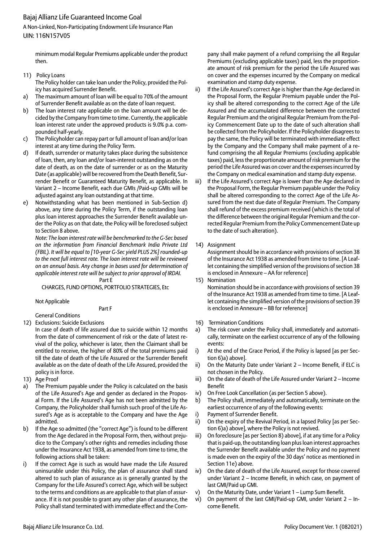A Non-Linked, Non-Participating Endowment Life Insurance Plan UIN: 116N157V05

minimum modal Regular Premiums applicable under the product then.

11) Policy Loans

 The Policy holder can take loan under the Policy, provided the Policy has acquired Surrender Benefit.

- The maximum amount of loan will be equal to 70% of the amount of Surrender Benefit available as on the date of loan request.
- b) The loan interest rate applicable on the loan amount will be decided by the Company from time to time. Currently, the applicable loan interest rate under the approved products is 9.0% p.a. compounded half-yearly.
- c) The Policyholder can repay part or full amount of loan and/or loan interest at any time during the Policy Term.
- d) If death, surrender or maturity takes place during the subsistence of loan, then, any loan and/or loan-interest outstanding as on the date of death, as on the date of surrender or as on the Maturity Date (as applicable) will be recovered from the Death Benefit, Surrender Benefit or Guaranteed Maturity Benefit, as applicable. In Variant 2 – Income Benefit, each due GMIs /Paid-up GMIs will be adjusted against any loan outstanding at that time.
- e) Notwithstanding what has been mentioned in Sub-Section d) above, any time during the Policy Term, if the outstanding loan plus loan interest approaches the Surrender Benefit available under the Policy as on that date, the Policy will be foreclosed subject to Section 8 above.

 *Note: The loan interest rate will be benchmarked to the G-Sec based on the information from Financial Benchmark India Private Ltd (FBIL). It will be equal to [10-year G-Sec yield PLUS 2%] rounded-up to the next full interest rate. The loan interest rate will be reviewed on an annual basis. Any change in bases used for determination of applicable interest rate will be subject to prior approval of IRDAI.*

Part E

CHARGES, FUND OPTIONS, PORTFOLIO STRATEGIES, Etc

Not Applicable

Part F

- General Conditions
- 12) Exclusions: Suicide Exclusions In case of death of life assured due to suicide within 12 months
	- from the date of commencement of risk or the date of latest revival of the policy, whichever is later, then the Claimant shall be entitled to receive, the higher of 80% of the total premiums paid till the date of death of the Life Assured or the Surrender Benefit available as on the date of death of the Life Assured, provided the policy is in force.
- 13) Age Proof
- a) The Premium payable under the Policy is calculated on the basis of the Life Assured's Age and gender as declared in the Proposal Form. If the Life Assured's Age has not been admitted by the Company, the Policyholder shall furnish such proof of the Life Assured's Age as is acceptable to the Company and have the Age admitted.
- If the Age so admitted (the "correct Age") is found to be different from the Age declared in the Proposal Form, then, without prejudice to the Company's other rights and remedies including those under the Insurance Act 1938, as amended from time to time, the following actions shall be taken:
- i) If the correct Age is such as would have made the Life Assured uninsurable under this Policy, the plan of assurance shall stand altered to such plan of assurance as is generally granted by the Company for the Life Assured's correct Age, which will be subject to the terms and conditions as are applicable to that plan of assurance. If it is not possible to grant any other plan of assurance, the Policy shall stand terminated with immediate effect and the Com-

pany shall make payment of a refund comprising the all Regular Premiums (excluding applicable taxes) paid, less the proportionate amount of risk premium for the period the Life Assured was on cover and the expenses incurred by the Company on medical examination and stamp duty expense.

- ii) If the Life Assured's correct Age is higher than the Age declared in the Proposal Form, the Regular Premium payable under the Policy shall be altered corresponding to the correct Age of the Life Assured and the accumulated difference between the corrected Regular Premium and the original Regular Premium from the Policy Commencement Date up to the date of such alteration shall be collected from the Policyholder. If the Policyholder disagrees to pay the same, the Policy will be terminated with immediate effect by the Company and the Company shall make payment of a refund comprising the all Regular Premiums (excluding applicable taxes) paid, less the proportionate amount of risk premium for the period the Life Assured was on cover and the expenses incurred by the Company on medical examination and stamp duty expense.
- iii) If the Life Assured's correct Age is lower than the Age declared in the Proposal Form, the Regular Premium payable under the Policy shall be altered corresponding to the correct Age of the Life Assured from the next due date of Regular Premium. The Company shall refund of the excess premium received (which is the total of the difference between the original Regular Premium and the corrected Regular Premium from the Policy Commencement Date up to the date of such alteration).
- 14) Assignment

 Assignment should be in accordance with provisions of section 38 of the Insurance Act 1938 as amended from time to time. [A Leaflet containing the simplified version of the provisions of section 38 is enclosed in Annexure – AA for reference]

15) Nomination

 Nomination should be in accordance with provisions of section 39 of the Insurance Act 1938 as amended from time to time. [A Leaflet containing the simplified version of the provisions of section 39 is enclosed in Annexure – BB for reference]

- 16) Termination Conditions
- a) The risk cover under the Policy shall, immediately and automatically, terminate on the earliest occurrence of any of the following events:
- i) At the end of the Grace Period, if the Policy is lapsed [as per Section 6)a) above].
- ii) On the Maturity Date under Variant 2 Income Benefit, if ELC is not chosen in the Policy.
- iii) On the date of death of the Life Assured under Variant 2 Income Benefit
- iv) On Free Look Cancellation (as per Section 5 above).
- b) The Policy shall, immediately and automatically, terminate on the earliest occurrence of any of the following events:
- i) Payment of Surrender Benefit.
- ii) On the expiry of the Revival Period, in a lapsed Policy [as per Section 6)a) above], where the Policy is not revived.
- iii) On foreclosure [as per Section 8) above], if at any time for a Policy that is paid-up, the outstanding loan plus loan interest approaches the Surrender Benefit available under the Policy and no payment is made even on the expiry of the 30 days' notice as mentioned in Section 11e) above.
- iv) On the date of death of the Life Assured, except for those covered under Variant 2 – Income Benefit, in which case, on payment of last GMI/Paid up GMI.
- v) On the Maturity Date, under Variant 1 Lump Sum Benefit.
- vi) On payment of the last GMI/Paid-up GMI, under Variant 2 Income Benefit.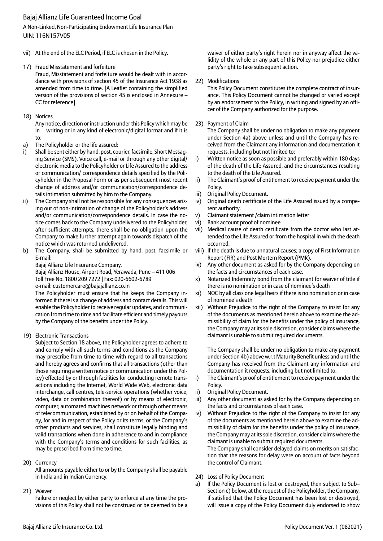A Non-Linked, Non-Participating Endowment Life Insurance Plan UIN: 116N157V05

- vii) At the end of the ELC Period, if ELC is chosen in the Policy.
- 17) Fraud Misstatement and forfeiture

 Fraud, Misstatement and forfeiture would be dealt with in accordance with provisions of section 45 of the Insurance Act 1938 as amended from time to time. [A Leaflet containing the simplified version of the provisions of section 45 is enclosed in Annexure – CC for reference]

18) Notices

 Any notice, direction or instruction under this Policy which may be in writing or in any kind of electronic/digital format and if it is to:

- a) The Policyholder or the life assured:
- i) Shall be sent either by hand, post, courier, facsimile, Short Messaging Service (SMS), Voice call, e-mail or through any other digital/ electronic media to the Policyholder or Life Assured to the address or communication/ correspondence details specified by the Policyholder in the Proposal Form or as per subsequent most recent change of address and/or communication/correspondence details intimation submitted by him to the Company.
- ii) The Company shall not be responsible for any consequences arising out of non-intimation of change of the Policyholder's address and/or communication/correspondence details. In case the notice comes back to the Company undelivered to the Policyholder, after sufficient attempts, there shall be no obligation upon the Company to make further attempt again towards dispatch of the notice which was returned undelivered.
- b) The Company, shall be submitted by hand, post, facsimile or E-mail:

Bajaj Allianz Life Insurance Company,

 Bajaj Allianz House, Airport Road, Yerawada, Pune – 411 006 Toll Free No. 1800 209 7272 | Fax: 020-6602-6789 e-mail: customercare@bajajallianz.co.in

 The Policyholder must ensure that he keeps the Company informed if there is a change of address and contact details. This will enable the Policyholder to receive regular updates, and communication from time to time and facilitate efficient and timely payouts by the Company of the benefits under the Policy.

19) Electronic Transactions

 Subject to Section 18 above, the Policyholder agrees to adhere to and comply with all such terms and conditions as the Company may prescribe from time to time with regard to all transactions and hereby agrees and confirms that all transactions (other than those requiring a written notice or communication under this Policy) effected by or through facilities for conducting remote transactions including the Internet, World Wide Web, electronic data interchange, call centres, tele-service operations (whether voice, video, data or combination thereof) or by means of electronic, computer, automated machines network or through other means of telecommunication, established by or on behalf of the Company, for and in respect of the Policy or its terms, or the Company's other products and services, shall constitute legally binding and valid transactions when done in adherence to and in compliance with the Company's terms and conditions for such facilities, as may be prescribed from time to time.

20) Currency

 All amounts payable either to or by the Company shall be payable in India and in Indian Currency.

21) Waiver

 Failure or neglect by either party to enforce at any time the provisions of this Policy shall not be construed or be deemed to be a waiver of either party's right herein nor in anyway affect the validity of the whole or any part of this Policy nor prejudice either party's right to take subsequent action.

### 22) Modifications

 This Policy Document constitutes the complete contract of insurance. This Policy Document cannot be changed or varied except by an endorsement to the Policy, in writing and signed by an officer of the Company authorized for the purpose.

### 23) Payment of Claim

 The Company shall be under no obligation to make any payment under Section 4a) above unless and until the Company has received from the Claimant any information and documentation it requests, including but not limited to:

- i) Written notice as soon as possible and preferably within 180 days of the death of the Life Assured, and the circumstances resulting to the death of the Life Assured.
- ii) The Claimant's proof of entitlement to receive payment under the Policy.
- iii) Original Policy Document.
- iv) Original death certificate of the Life Assured issued by a competent authority.
- v) Claimant statement /claim intimation letter
- vi) Bank account proof of nominee
- vii) Medical cause of death certificate from the doctor who last attended to the Life Assured or from the hospital in which the death occurred.
- viii) If the death is due to unnatural causes; a copy of First Information Report (FIR) and Post Mortem Report (PMR).
- ix) Any other document as asked for by the Company depending on the facts and circumstances of each case.
- x) Notarized Indemnity bond from the claimant for waiver of title if there is no nomination or in case of nominee's death
- xi) NOC by all class one legal heirs if there is no nomination or in case of nominee's death
- xii) Without Prejudice to the right of the Company to insist for any of the documents as mentioned herein above to examine the admissibility of claim for the benefits under the policy of insurance, the Company may at its sole discretion, consider claims where the claimant is unable to submit required documents.

 The Company shall be under no obligation to make any payment under Section 4b) above w.r.t Maturity Benefit unless and until the Company has received from the Claimant any information and documentation it requests, including but not limited to:

- i) The Claimant's proof of entitlement to receive payment under the Policy.
- ii) Original Policy Document.
- iii) Any other document as asked for by the Company depending on the facts and circumstances of each case.
- iv) Without Prejudice to the right of the Company to insist for any of the documents as mentioned herein above to examine the admissibility of claim for the benefits under the policy of insurance, the Company may at its sole discretion, consider claims where the claimant is unable to submit required documents.

 The Company shall consider delayed claims on merits on satisfaction that the reasons for delay were on account of facts beyond the control of Claimant.

- 24) Loss of Policy Document
- a) If the Policy Document is lost or destroyed, then subject to Sub– Section c) below, at the request of the Policyholder, the Company, if satisfied that the Policy Document has been lost or destroyed, will issue a copy of the Policy Document duly endorsed to show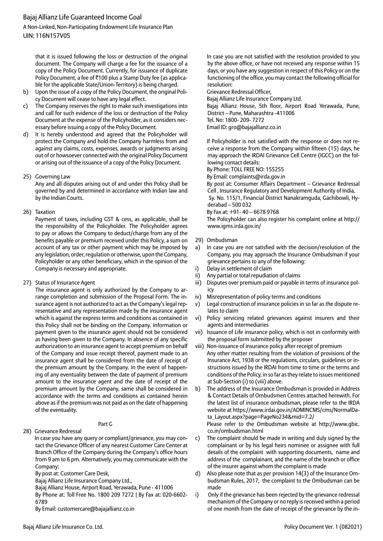A Non-Linked, Non-Participating Endowment Life Insurance Plan UIN: 116N157V05

that it is issued following the loss or destruction of the original document. The Company will charge a fee for the issuance of a copy of the Policy Document. Currently, for issuance of duplicate Policy Document, a fee of ₹100 plus a Stamp Duty fee (as applicable for the applicable State/Union-Territory) is being charged.

- b) Upon the issue of a copy of the Policy Document, the original Policy Document will cease to have any legal effect.
- The Company reserves the right to make such investigations into and call for such evidence of the loss or destruction of the Policy Document at the expense of the Policyholder, as it considers necessary before issuing a copy of the Policy Document.
- d) It is hereby understood and agreed that the Policyholder will protect the Company and hold the Company harmless from and against any claims, costs, expenses, awards or judgments arising out of or howsoever connected with the original Policy Document or arising out of the issuance of a copy of the Policy Document.
- 25) Governing Law

 Any and all disputes arising out of and under this Policy shall be governed by and determined in accordance with Indian law and by the Indian Courts.

26) Taxation

 Payment of taxes, including GST & cess, as applicable, shall be the responsibility of the Policyholder. The Policyholder agrees to pay or allows the Company to deduct/charge from any of the benefits payable or premium received under this Policy, a sum on account of any tax or other payment which may be imposed by any legislation, order, regulation or otherwise, upon the Company, Policyholder or any other beneficiary, which in the opinion of the Company is necessary and appropriate.

27) Status of Insurance Agent

 The insurance agent is only authorized by the Company to arrange completion and submission of the Proposal Form. The insurance agent is not authorized to act as the Company's legal representative and any representation made by the insurance agent which is against the express terms and conditions as contained in this Policy shall not be binding on the Company. Information or payment given to the insurance agent should not be considered as having been given to the Company. In absence of any specific authorization to an insurance agent to accept premium on behalf of the Company and issue receipt thereof, payment made to an insurance agent shall be considered from the date of receipt of the premium amount by the Company. In the event of happening of any eventuality between the date of payment of premium amount to the insurance agent and the date of receipt of the premium amount by the Company, same shall be considered in accordance with the terms and conditions as contained herein above as if the premium was not paid as on the date of happening of the eventuality.

### Part G

28) Grievance Redressal

In case you have any query or compliant/grievance, you may contact the Grievance Officer of any nearest Customer Care Center at Branch Office of the Company during the Company's office hours from 9 am to 6 pm. Alternatively, you may communicate with the Company:

By post at: Customer Care Desk,

Bajaj Allianz Life Insurance Company Ltd.,

Bajaj Allianz House, Airport Road, Yerawada, Pune - 411006

By Phone at: Toll Free No. 1800 209 7272 | By Fax at: 020-6602-

6789

By Email: customercare@bajajallianz.co.in

In case you are not satisfied with the resolution provided to you by the above office, or have not received any response within 15 days, or you have any suggestion in respect of this Policy or on the functioning of the office, you may contact the following official for resolution:

Grievance Redressal Officer,

Bajaj Allianz Life Insurance Company Ltd. Bajaj Allianz House, 5th floor, Airport Road Yerawada, Pune, District – Pune, Maharashtra -411006 Tel. No: 1800- 209- 7272 Email ID: gro@bajajallianz.co.in

If Policyholder is not satisfied with the response or does not receive a response from the Company within fifteen (15) days, he may approach the IRDAI Grievance Cell Centre (IGCC) on the following contact details:

By Phone: TOLL FREE NO: 155255

By Email: complaints@irda.gov.in

By post at: Consumer Affairs Department – Grievance Redressal Cell , Insurance Regulatory and Development Authority of India, Sy. No. 115/1, Financial District Nanakramguda, Gachibowli, Hyderabad – 500 032 By Fax at: +91- 40 – 6678 9768

The Policyholder can also register his complaint online at http:// www.igms.irda.gov.in/

- 29) Ombudsman
- a) In case you are not satisfied with the decision/resolution of the Company, you may approach the Insurance Ombudsman if your grievance pertains to any of the following:
- i) Delay in settlement of claim
- ii) Any partial or total repudiation of claims
- iii) Disputes over premium paid or payable in terms of insurance policy
- iv) Misrepresentation of policy terms and conditions
- v) Legal construction of insurance policies in so far as the dispute relates to claim
- vi) Policy servicing related grievances against insurers and their agents and intermediaries
- vii) Issuance of Life insurance policy, which is not in conformity with the proposal form submitted by the proposer
- viii) Non-issuance of insurance policy after receipt of premium Any other matter resulting from the violation of provisions of the Insurance Act, 1938 or the regulations, circulars, guidelines or instructions issued by the IRDAI from time to time or the terms and conditions of the Policy, in so far as they relate to issues mentioned at Sub-Section (i) to (viii) above.
- b) The address of the Insurance Ombudsman is provided in Address & Contact Details of Ombudsmen Centres attached herewith. For the latest list of insurance ombudsman, please refer to the IRDA website at https://www.irdai.gov.in/ADMINCMS/cms/NormalData\_Layout.aspx?page=PageNo234&mid=7.2/ Please refer to the Ombudsman website at http://www.gbic. co.in/ombudsman.html
- c) The complaint should be made in writing and duly signed by the complainant or by his legal heirs nominee or assignee with full details of the complaint with supporting documents, name and address of the complainant, and the name of the branch or office of the insurer against whom the complaint is made
- d) Also please note that as per provision 14(3) of the Insurance Ombudsman Rules, 2017, the complaint to the Ombudsman can be made
- i) Only if the grievance has been rejected by the grievance redressal mechanism of the Company or no reply is received within a period of one month from the date of receipt of the grievance by the in-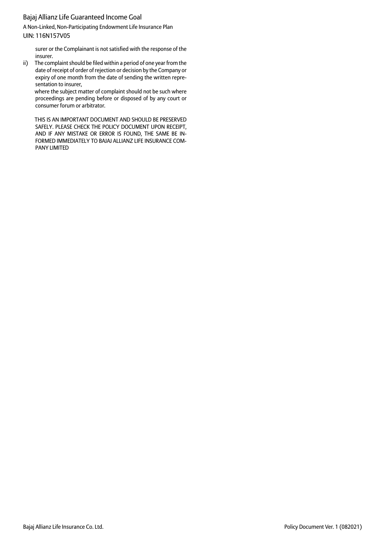A Non-Linked, Non-Participating Endowment Life Insurance Plan UIN: 116N157V05

surer or the Complainant is not satisfied with the response of the insurer.

ii) The complaint should be filed within a period of one year from the date of receipt of order of rejection or decision by the Company or expiry of one month from the date of sending the written representation to insurer,

where the subject matter of complaint should not be such where proceedings are pending before or disposed of by any court or consumer forum or arbitrator.

THIS IS AN IMPORTANT DOCUMENT AND SHOULD BE PRESERVED SAFELY. PLEASE CHECK THE POLICY DOCUMENT UPON RECEIPT, AND IF ANY MISTAKE OR ERROR IS FOUND, THE SAME BE IN-FORMED IMMEDIATELY TO BAJAJ ALLIANZ LIFE INSURANCE COM-PANY LIMITED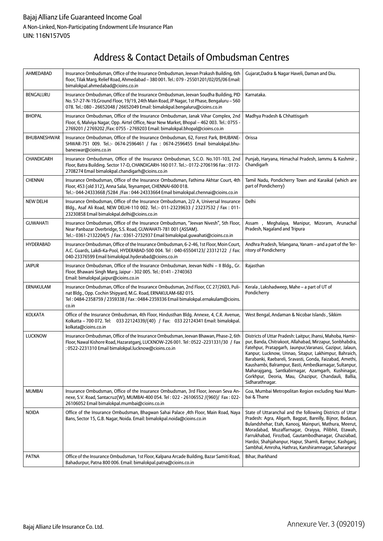# Address & Contact Details of Ombudsman Centres

| AHMEDABAD        | Insurance Ombudsman, Office of the Insurance Ombudsman, Jeevan Prakash Building, 6th<br>floor, Tilak Marg, Relief Road, Ahmedabad - 380 001. Tel.: 079 - 25501201/02/05/06 Email:<br>bimalokpal.ahmedabad@cioins.co.in                                            | Gujarat, Dadra & Nagar Haveli, Daman and Diu.                                                                                                                                                                                                                                                                                                                                                                                                                                                       |
|------------------|-------------------------------------------------------------------------------------------------------------------------------------------------------------------------------------------------------------------------------------------------------------------|-----------------------------------------------------------------------------------------------------------------------------------------------------------------------------------------------------------------------------------------------------------------------------------------------------------------------------------------------------------------------------------------------------------------------------------------------------------------------------------------------------|
| BENGALURU        | Insurance Ombudsman, Office of the Insurance Ombudsman, Jeevan Soudha Building, PID<br>No. 57-27-N-19, Ground Floor, 19/19, 24th Main Road, JP Nagar, 1st Phase, Bengaluru - 560<br>078. Tel.: 080 - 26652048 / 26652049 Email: bimalokpal.bengaluru@cioins.co.in | Karnataka.                                                                                                                                                                                                                                                                                                                                                                                                                                                                                          |
| <b>BHOPAL</b>    | Insurance Ombudsman, Office of the Insurance Ombudsman, Janak Vihar Complex, 2nd<br>Floor, 6, Malviya Nagar, Opp. Airtel Office, Near New Market, Bhopal - 462 003. Tel.: 0755 -<br>2769201 / 2769202 / Fax: 0755 - 2769203 Email: bimalokpal.bhopal@cioins.co.in | Madhya Pradesh & Chhattisgarh                                                                                                                                                                                                                                                                                                                                                                                                                                                                       |
| BHUBANESHWAR     | Insurance Ombudsman, Office of the Insurance Ombudsman, 62, Forest Park, BHUBANE-<br>SHWAR-751 009. Tel.:- 0674-2596461 / Fax: 0674-2596455 Email bimalokpal.bhu-<br>baneswar@cioins.co.in                                                                        | Orissa                                                                                                                                                                                                                                                                                                                                                                                                                                                                                              |
| CHANDIGARH       | Insurance Ombudsman, Office of the Insurance Ombudsman, S.C.O. No.101-103, 2nd<br>Floor, Batra Building. Sector 17-D, CHANDIGARH-160 017. Tel.:- 0172-2706196 Fax: 0172-<br>2708274 Email bimalokpal.chandigarh@cioins.co.in                                      | Punjab, Haryana, Himachal Pradesh, Jammu & Kashmir,<br>Chandigarh                                                                                                                                                                                                                                                                                                                                                                                                                                   |
| <b>CHENNAI</b>   | Insurance Ombudsman, Office of the Insurance Ombudsman, Fathima Akhtar Court, 4th<br>Floor, 453 (old 312), Anna Salai, Teynampet, CHENNAI-600 018.<br>Tel.:- 044-24333668 / 5284 / Fax: 044-24333664 Email bimalokpal.chennai@cioins.co.in                        | Tamil Nadu, Pondicherry Town and Karaikal (which are<br>part of Pondicherry)                                                                                                                                                                                                                                                                                                                                                                                                                        |
| <b>NEW DELHI</b> | Insurance Ombudsman, Office of the Insurance Ombudsman, 2/2 A, Universal Insurance<br>Bldg., Asaf Ali Road, NEW DELHI-110 002. Tel.:- 011-23239633 / 23237532 / Fax: 011-<br>23230858 Email bimalokpal.delhi@cioins.co.in                                         | Delhi                                                                                                                                                                                                                                                                                                                                                                                                                                                                                               |
| <b>GUWAHATI</b>  | Insurance Ombudsman, Office of the Insurance Ombudsman, "Jeevan Nivesh", 5th Floor,<br>Near Panbazar Overbridge, S.S. Road, GUWAHATI-781 001 (ASSAM).<br>Tel.:- 0361-2132204/5 / Fax: 0361-2732937 Email bimalokpal.guwahati@cioins.co.in                         | Assam, Meghalaya, Manipur, Mizoram, Arunachal<br>Pradesh, Nagaland and Tripura                                                                                                                                                                                                                                                                                                                                                                                                                      |
| <b>HYDERABAD</b> | Insurance Ombudsman, Office of the Insurance Ombudsman, 6-2-46, 1st Floor, Moin Court,<br>A.C. Guards, Lakdi-Ka-Pool, HYDERABAD-500 004. Tel: 040-65504123/23312122 / Fax:<br>040-23376599 Email bimalokpal.hyderabad@cioins.co.in                                | Andhra Pradesh, Telangana, Yanam - and a part of the Ter-<br>ritory of Pondicherry                                                                                                                                                                                                                                                                                                                                                                                                                  |
| Jaipur           | Insurance Ombudsman, Office of the Insurance Ombudsman, Jeevan Nidhi - Il Bldg., Gr.<br>Floor, Bhawani Singh Marg, Jaipur - 302 005. Tel.: 0141 - 2740363<br>Email: bimalokpal.jaipur@cioins.co.in                                                                | Rajasthan                                                                                                                                                                                                                                                                                                                                                                                                                                                                                           |
| ERNAKULAM        | Insurance Ombudsman, Office of the Insurance Ombudsman, 2nd Floor, CC 27/2603, Puli-<br>nat Bldg., Opp. Cochin Shipyard, M.G. Road, ERNAKULAM-682 015.<br>Tel: 0484-2358759 / 2359338 / Fax: 0484-2359336 Email bimalokpal.ernakulam@cioins.<br>co.in             | Kerala, Lakshadweep, Mahe - a part of UT of<br>Pondicherry                                                                                                                                                                                                                                                                                                                                                                                                                                          |
| <b>KOLKATA</b>   | Office of the Insurance Ombudsman, 4th Floor, Hindusthan Bldg. Annexe, 4, C.R. Avenue,<br>Kolkatta - 700 072. Tel: 033 22124339/(40) / Fax: 033 22124341 Email: bimalokpal.<br>kolkata@cioins.co.in                                                               | West Bengal, Andaman & Nicobar Islands, Sikkim                                                                                                                                                                                                                                                                                                                                                                                                                                                      |
| <b>LUCKNOW</b>   | Insurance Ombudsman, Office of the Insurance Ombudsman, Jeevan Bhawan, Phase-2, 6th<br>Floor, Nawal Kishore Road, Hazaratganj, LUCKNOW-226 001. Tel: 0522 -2231331/30 / Fax<br>: 0522-2231310 Email bimalokpal.lucknow@cioins.co.in                               | Districts of Uttar Pradesh: Laitpur, Jhansi, Mahoba, Hamir-<br>pur, Banda, Chitrakoot, Allahabad, Mirzapur, Sonbhabdra,<br>Fatehpur, Pratapgarh, Jaunpur, Varanasi, Gazipur, Jalaun,<br>Kanpur, Lucknow, Unnao, Sitapur, Lakhimpur, Bahraich,<br>Barabanki, Raebareli, Sravasti, Gonda, Faizabad, Amethi,<br>Kaushambi, Balrampur, Basti, Ambedkarnagar, Sultanpur,<br>Maharajgang, Santkabirnagar, Azamgarh, Kushinagar,<br>Gorkhpur, Deoria, Mau, Ghazipur, Chandauli, Ballia,<br>Sidharathnagar. |
| <b>MUMBAI</b>    | Insurance Ombudsman, Office of the Insurance Ombudsman, 3rd Floor, Jeevan Seva An-<br>nexe, S.V. Road, Santacruz(W), MUMBAI-400 054. Tel: 022 - 26106552 /(960)/ Fax: 022-<br>26106052 Email bimalokpal.mumbai@cioins.co.in                                       | Goa, Mumbai Metropolitan Region excluding Navi Mum-<br>bai & Thane                                                                                                                                                                                                                                                                                                                                                                                                                                  |
| <b>NOIDA</b>     | Office of the Insurance Ombudsman, Bhagwan Sahai Palace ,4th Floor, Main Road, Naya<br>Bans, Sector 15, G.B. Nagar, Noida. Email: bimalokpal.noida@cioins.co.in                                                                                                   | State of Uttaranchal and the following Districts of Uttar<br>Pradesh: Agra, Aligarh, Bagpat, Bareilly, Bijnor, Budaun,<br>Bulandshehar, Etah, Kanooj, Mainpuri, Mathura, Meerut,<br>Moradabad, Muzaffarnagar, Oraiyya, Pilibhit, Etawah,<br>Farrukhabad, Firozbad, Gautambodhanagar, Ghaziabad,<br>Hardoi, Shahjahanpur, Hapur, Shamli, Rampur, Kashganj,<br>Sambhal, Amroha, Hathras, Kanshiramnagar, Saharanpur                                                                                   |
| PATNA            | Office of the Insurance Ombudsman, 1st Floor, Kalpana Arcade Building, Bazar Samiti Road,<br>Bahadurpur, Patna 800 006. Email: bimalokpal.patna@cioins.co.in                                                                                                      | Bihar, Jharkhand                                                                                                                                                                                                                                                                                                                                                                                                                                                                                    |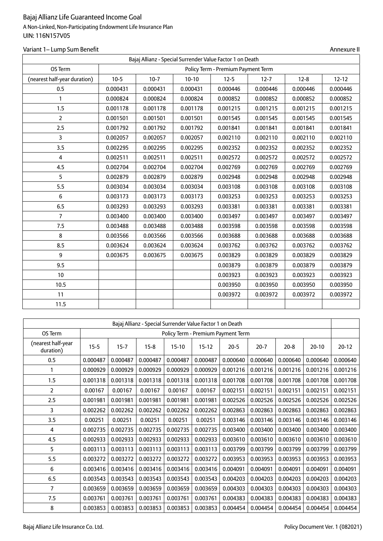## Variant 1– Lump Sum Benefit Annexure II and Summary Summary Summary Summary Summary Summary Summary Summary Summary Summary Summary Summary Summary Summary Summary Summary Summary Summary Summary Summary Summary Summary Su

|                              | Bajaj Allianz - Special Surrender Value Factor 1 on Death |                                                       |          |          |          |          |          |  |  |  |  |
|------------------------------|-----------------------------------------------------------|-------------------------------------------------------|----------|----------|----------|----------|----------|--|--|--|--|
| OS Term                      |                                                           | Policy Term - Premium Payment Term<br>$12 - 12$       |          |          |          |          |          |  |  |  |  |
| (nearest half-year duration) | $10-5$                                                    | $10-7$<br>$10-10$<br>$12 - 5$<br>$12 - 8$<br>$12 - 7$ |          |          |          |          |          |  |  |  |  |
| 0.5                          | 0.000431                                                  | 0.000431                                              | 0.000431 | 0.000446 | 0.000446 | 0.000446 | 0.000446 |  |  |  |  |
| 1                            | 0.000824                                                  | 0.000824                                              | 0.000824 | 0.000852 | 0.000852 | 0.000852 | 0.000852 |  |  |  |  |
| 1.5                          | 0.001178                                                  | 0.001178                                              | 0.001178 | 0.001215 | 0.001215 | 0.001215 | 0.001215 |  |  |  |  |
| $\overline{2}$               | 0.001501                                                  | 0.001501                                              | 0.001501 | 0.001545 | 0.001545 | 0.001545 | 0.001545 |  |  |  |  |
| 2.5                          | 0.001792                                                  | 0.001792                                              | 0.001792 | 0.001841 | 0.001841 | 0.001841 | 0.001841 |  |  |  |  |
| $\overline{3}$               | 0.002057                                                  | 0.002057                                              | 0.002057 | 0.002110 | 0.002110 | 0.002110 | 0.002110 |  |  |  |  |
| 3.5                          | 0.002295                                                  | 0.002295                                              | 0.002295 | 0.002352 | 0.002352 | 0.002352 | 0.002352 |  |  |  |  |
| $\overline{4}$               | 0.002511                                                  | 0.002511                                              | 0.002511 | 0.002572 | 0.002572 | 0.002572 | 0.002572 |  |  |  |  |
| 4.5                          | 0.002704                                                  | 0.002704                                              | 0.002704 | 0.002769 | 0.002769 | 0.002769 | 0.002769 |  |  |  |  |
| 5                            | 0.002879                                                  | 0.002879                                              | 0.002879 | 0.002948 | 0.002948 | 0.002948 | 0.002948 |  |  |  |  |
| 5.5                          | 0.003034                                                  | 0.003034                                              | 0.003034 | 0.003108 | 0.003108 | 0.003108 | 0.003108 |  |  |  |  |
| 6                            | 0.003173                                                  | 0.003173                                              | 0.003173 | 0.003253 | 0.003253 | 0.003253 | 0.003253 |  |  |  |  |
| 6.5                          | 0.003293                                                  | 0.003293                                              | 0.003293 | 0.003381 | 0.003381 | 0.003381 | 0.003381 |  |  |  |  |
| $\overline{7}$               | 0.003400                                                  | 0.003400                                              | 0.003400 | 0.003497 | 0.003497 | 0.003497 | 0.003497 |  |  |  |  |
| 7.5                          | 0.003488                                                  | 0.003488                                              | 0.003488 | 0.003598 | 0.003598 | 0.003598 | 0.003598 |  |  |  |  |
| 8                            | 0.003566                                                  | 0.003566                                              | 0.003566 | 0.003688 | 0.003688 | 0.003688 | 0.003688 |  |  |  |  |
| 8.5                          | 0.003624                                                  | 0.003624                                              | 0.003624 | 0.003762 | 0.003762 | 0.003762 | 0.003762 |  |  |  |  |
| 9                            | 0.003675                                                  | 0.003675                                              | 0.003675 | 0.003829 | 0.003829 | 0.003829 | 0.003829 |  |  |  |  |
| 9.5                          |                                                           |                                                       |          | 0.003879 | 0.003879 | 0.003879 | 0.003879 |  |  |  |  |
| 10                           |                                                           |                                                       |          | 0.003923 | 0.003923 | 0.003923 | 0.003923 |  |  |  |  |
| 10.5                         |                                                           |                                                       |          | 0.003950 | 0.003950 | 0.003950 | 0.003950 |  |  |  |  |
| 11                           |                                                           |                                                       |          | 0.003972 | 0.003972 | 0.003972 | 0.003972 |  |  |  |  |
| 11.5                         |                                                           |                                                       |          |          |          |          |          |  |  |  |  |

|                                 | Bajaj Allianz - Special Surrender Value Factor 1 on Death |                                    |          |          |          |          |          |          |           |          |  |  |
|---------------------------------|-----------------------------------------------------------|------------------------------------|----------|----------|----------|----------|----------|----------|-----------|----------|--|--|
| OS Term                         |                                                           | Policy Term - Premium Payment Term |          |          |          |          |          |          |           |          |  |  |
| (nearest half-year<br>duration) | $15 - 5$                                                  | $15 - 7$                           | $15-8$   | $15-10$  | $15-12$  | $20 - 5$ | $20-7$   | $20-8$   | $20 - 10$ | $20-12$  |  |  |
| 0.5                             | 0.000487                                                  | 0.000487                           | 0.000487 | 0.000487 | 0.000487 | 0.000640 | 0.000640 | 0.000640 | 0.000640  | 0.000640 |  |  |
| 1                               | 0.000929                                                  | 0.000929                           | 0.000929 | 0.000929 | 0.000929 | 0.001216 | 0.001216 | 0.001216 | 0.001216  | 0.001216 |  |  |
| 1.5                             | 0.001318                                                  | 0.001318                           | 0.001318 | 0.001318 | 0.001318 | 0.001708 | 0.001708 | 0.001708 | 0.001708  | 0.001708 |  |  |
| $\overline{2}$                  | 0.00167                                                   | 0.00167                            | 0.00167  | 0.00167  | 0.00167  | 0.002151 | 0.002151 | 0.002151 | 0.002151  | 0.002151 |  |  |
| 2.5                             | 0.001981                                                  | 0.001981                           | 0.001981 | 0.001981 | 0.001981 | 0.002526 | 0.002526 | 0.002526 | 0.002526  | 0.002526 |  |  |
| 3                               | 0.002262                                                  | 0.002262                           | 0.002262 | 0.002262 | 0.002262 | 0.002863 | 0.002863 | 0.002863 | 0.002863  | 0.002863 |  |  |
| 3.5                             | 0.00251                                                   | 0.00251                            | 0.00251  | 0.00251  | 0.00251  | 0.003146 | 0.003146 | 0.003146 | 0.003146  | 0.003146 |  |  |
| 4                               | 0.002735                                                  | 0.002735                           | 0.002735 | 0.002735 | 0.002735 | 0.003400 | 0.003400 | 0.003400 | 0.003400  | 0.003400 |  |  |
| 4.5                             | 0.002933                                                  | 0.002933                           | 0.002933 | 0.002933 | 0.002933 | 0.003610 | 0.003610 | 0.003610 | 0.003610  | 0.003610 |  |  |
| 5                               | 0.003113                                                  | 0.003113                           | 0.003113 | 0.003113 | 0.003113 | 0.003799 | 0.003799 | 0.003799 | 0.003799  | 0.003799 |  |  |
| 5.5                             | 0.003272                                                  | 0.003272                           | 0.003272 | 0.003272 | 0.003272 | 0.003953 | 0.003953 | 0.003953 | 0.003953  | 0.003953 |  |  |
| 6                               | 0.003416                                                  | 0.003416                           | 0.003416 | 0.003416 | 0.003416 | 0.004091 | 0.004091 | 0.004091 | 0.004091  | 0.004091 |  |  |
| 6.5                             | 0.003543                                                  | 0.003543                           | 0.003543 | 0.003543 | 0.003543 | 0.004203 | 0.004203 | 0.004203 | 0.004203  | 0.004203 |  |  |
| 7                               | 0.003659                                                  | 0.003659                           | 0.003659 | 0.003659 | 0.003659 | 0.004303 | 0.004303 | 0.004303 | 0.004303  | 0.004303 |  |  |
| 7.5                             | 0.003761                                                  | 0.003761                           | 0.003761 | 0.003761 | 0.003761 | 0.004383 | 0.004383 | 0.004383 | 0.004383  | 0.004383 |  |  |
| 8                               | 0.003853                                                  | 0.003853                           | 0.003853 | 0.003853 | 0.003853 | 0.004454 | 0.004454 | 0.004454 | 0.004454  | 0.004454 |  |  |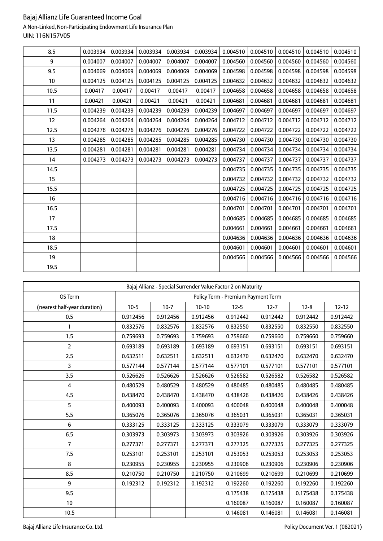## A Non-Linked, Non-Participating Endowment Life Insurance Plan UIN: 116N157V05

| 8.5  | 0.003934 | 0.003934 | 0.003934 | 0.003934 | 0.003934 | 0.004510 | 0.004510 | 0.004510 | 0.004510 | 0.004510 |
|------|----------|----------|----------|----------|----------|----------|----------|----------|----------|----------|
| 9    | 0.004007 | 0.004007 | 0.004007 | 0.004007 | 0.004007 | 0.004560 | 0.004560 | 0.004560 | 0.004560 | 0.004560 |
| 9.5  | 0.004069 | 0.004069 | 0.004069 | 0.004069 | 0.004069 | 0.004598 | 0.004598 | 0.004598 | 0.004598 | 0.004598 |
| 10   | 0.004125 | 0.004125 | 0.004125 | 0.004125 | 0.004125 | 0.004632 | 0.004632 | 0.004632 | 0.004632 | 0.004632 |
| 10.5 | 0.00417  | 0.00417  | 0.00417  | 0.00417  | 0.00417  | 0.004658 | 0.004658 | 0.004658 | 0.004658 | 0.004658 |
| 11   | 0.00421  | 0.00421  | 0.00421  | 0.00421  | 0.00421  | 0.004681 | 0.004681 | 0.004681 | 0.004681 | 0.004681 |
| 11.5 | 0.004239 | 0.004239 | 0.004239 | 0.004239 | 0.004239 | 0.004697 | 0.004697 | 0.004697 | 0.004697 | 0.004697 |
| 12   | 0.004264 | 0.004264 | 0.004264 | 0.004264 | 0.004264 | 0.004712 | 0.004712 | 0.004712 | 0.004712 | 0.004712 |
| 12.5 | 0.004276 | 0.004276 | 0.004276 | 0.004276 | 0.004276 | 0.004722 | 0.004722 | 0.004722 | 0.004722 | 0.004722 |
| 13   | 0.004285 | 0.004285 | 0.004285 | 0.004285 | 0.004285 | 0.004730 | 0.004730 | 0.004730 | 0.004730 | 0.004730 |
| 13.5 | 0.004281 | 0.004281 | 0.004281 | 0.004281 | 0.004281 | 0.004734 | 0.004734 | 0.004734 | 0.004734 | 0.004734 |
| 14   | 0.004273 | 0.004273 | 0.004273 | 0.004273 | 0.004273 | 0.004737 | 0.004737 | 0.004737 | 0.004737 | 0.004737 |
| 14.5 |          |          |          |          |          | 0.004735 | 0.004735 | 0.004735 | 0.004735 | 0.004735 |
| 15   |          |          |          |          |          | 0.004732 | 0.004732 | 0.004732 | 0.004732 | 0.004732 |
| 15.5 |          |          |          |          |          | 0.004725 | 0.004725 | 0.004725 | 0.004725 | 0.004725 |
| 16   |          |          |          |          |          | 0.004716 | 0.004716 | 0.004716 | 0.004716 | 0.004716 |
| 16.5 |          |          |          |          |          | 0.004701 | 0.004701 | 0.004701 | 0.004701 | 0.004701 |
| 17   |          |          |          |          |          | 0.004685 | 0.004685 | 0.004685 | 0.004685 | 0.004685 |
| 17.5 |          |          |          |          |          | 0.004661 | 0.004661 | 0.004661 | 0.004661 | 0.004661 |
| 18   |          |          |          |          |          | 0.004636 | 0.004636 | 0.004636 | 0.004636 | 0.004636 |
| 18.5 |          |          |          |          |          | 0.004601 | 0.004601 | 0.004601 | 0.004601 | 0.004601 |
| 19   |          |          |          |          |          | 0.004566 | 0.004566 | 0.004566 | 0.004566 | 0.004566 |
| 19.5 |          |          |          |          |          |          |          |          |          |          |

| Bajaj Allianz - Special Surrender Value Factor 2 on Maturity |                                    |          |          |          |          |          |           |  |  |  |  |
|--------------------------------------------------------------|------------------------------------|----------|----------|----------|----------|----------|-----------|--|--|--|--|
| OS Term                                                      | Policy Term - Premium Payment Term |          |          |          |          |          |           |  |  |  |  |
| (nearest half-year duration)                                 | $10-5$                             | $10-7$   | $10-10$  | $12 - 5$ | $12 - 7$ | $12 - 8$ | $12 - 12$ |  |  |  |  |
| 0.5                                                          | 0.912456                           | 0.912456 | 0.912456 | 0.912442 | 0.912442 | 0.912442 | 0.912442  |  |  |  |  |
| 1                                                            | 0.832576                           | 0.832576 | 0.832576 | 0.832550 | 0.832550 | 0.832550 | 0.832550  |  |  |  |  |
| 1.5                                                          | 0.759693                           | 0.759693 | 0.759693 | 0.759660 | 0.759660 | 0.759660 | 0.759660  |  |  |  |  |
| $\overline{2}$                                               | 0.693189                           | 0.693189 | 0.693189 | 0.693151 | 0.693151 | 0.693151 | 0.693151  |  |  |  |  |
| 2.5                                                          | 0.632511                           | 0.632511 | 0.632511 | 0.632470 | 0.632470 | 0.632470 | 0.632470  |  |  |  |  |
| 3                                                            | 0.577144                           | 0.577144 | 0.577144 | 0.577101 | 0.577101 | 0.577101 | 0.577101  |  |  |  |  |
| 3.5                                                          | 0.526626                           | 0.526626 | 0.526626 | 0.526582 | 0.526582 | 0.526582 | 0.526582  |  |  |  |  |
| 4                                                            | 0.480529                           | 0.480529 | 0.480529 | 0.480485 | 0.480485 | 0.480485 | 0.480485  |  |  |  |  |
| 4.5                                                          | 0.438470                           | 0.438470 | 0.438470 | 0.438426 | 0.438426 | 0.438426 | 0.438426  |  |  |  |  |
| 5                                                            | 0.400093                           | 0.400093 | 0.400093 | 0.400048 | 0.400048 | 0.400048 | 0.400048  |  |  |  |  |
| 5.5                                                          | 0.365076                           | 0.365076 | 0.365076 | 0.365031 | 0.365031 | 0.365031 | 0.365031  |  |  |  |  |
| 6                                                            | 0.333125                           | 0.333125 | 0.333125 | 0.333079 | 0.333079 | 0.333079 | 0.333079  |  |  |  |  |
| 6.5                                                          | 0.303973                           | 0.303973 | 0.303973 | 0.303926 | 0.303926 | 0.303926 | 0.303926  |  |  |  |  |
| $\overline{\mathcal{L}}$                                     | 0.277371                           | 0.277371 | 0.277371 | 0.277325 | 0.277325 | 0.277325 | 0.277325  |  |  |  |  |
| 7.5                                                          | 0.253101                           | 0.253101 | 0.253101 | 0.253053 | 0.253053 | 0.253053 | 0.253053  |  |  |  |  |
| 8                                                            | 0.230955                           | 0.230955 | 0.230955 | 0.230906 | 0.230906 | 0.230906 | 0.230906  |  |  |  |  |
| 8.5                                                          | 0.210750                           | 0.210750 | 0.210750 | 0.210699 | 0.210699 | 0.210699 | 0.210699  |  |  |  |  |
| 9                                                            | 0.192312                           | 0.192312 | 0.192312 | 0.192260 | 0.192260 | 0.192260 | 0.192260  |  |  |  |  |
| 9.5                                                          |                                    |          |          | 0.175438 | 0.175438 | 0.175438 | 0.175438  |  |  |  |  |
| 10                                                           |                                    |          |          | 0.160087 | 0.160087 | 0.160087 | 0.160087  |  |  |  |  |
| 10.5                                                         |                                    |          |          | 0.146081 | 0.146081 | 0.146081 | 0.146081  |  |  |  |  |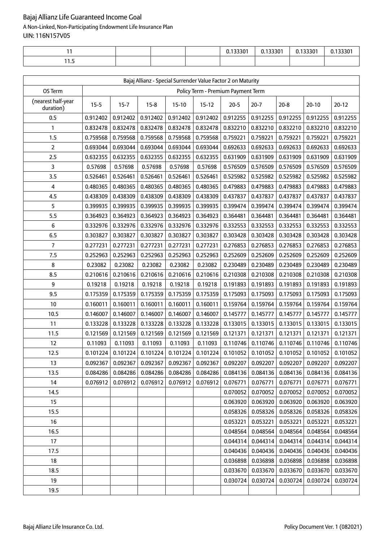|   |  | 0.133301 | 122201<br><u>U. 1333U I</u> | 0.133301 | .133301 |
|---|--|----------|-----------------------------|----------|---------|
| . |  |          |                             |          |         |

| Bajaj Allianz - Special Surrender Value Factor 2 on Maturity |          |          |                                                                                                               |          |                                    |          |          |          |           |          |
|--------------------------------------------------------------|----------|----------|---------------------------------------------------------------------------------------------------------------|----------|------------------------------------|----------|----------|----------|-----------|----------|
| OS Term                                                      |          |          |                                                                                                               |          | Policy Term - Premium Payment Term |          |          |          |           |          |
| (nearest half-year<br>duration)                              | $15 - 5$ | $15 - 7$ | $15-8$                                                                                                        | $15-10$  | $15-12$                            | $20-5$   | $20-7$   | $20 - 8$ | $20 - 10$ | $20-12$  |
| 0.5                                                          | 0.912402 | 0.912402 | 0.912402                                                                                                      | 0.912402 | 0.912402                           | 0.912255 | 0.912255 | 0.912255 | 0.912255  | 0.912255 |
| 1                                                            | 0.832478 | 0.832478 | 0.832478                                                                                                      | 0.832478 | 0.832478                           | 0.832210 | 0.832210 | 0.832210 | 0.832210  | 0.832210 |
| 1.5                                                          | 0.759568 | 0.759568 | 0.759568                                                                                                      | 0.759568 | 0.759568                           | 0.759221 | 0.759221 | 0.759221 | 0.759221  | 0.759221 |
| $\overline{2}$                                               | 0.693044 | 0.693044 | 0.693044                                                                                                      | 0.693044 | 0.693044                           | 0.692633 | 0.692633 | 0.692633 | 0.692633  | 0.692633 |
| 2.5                                                          | 0.632355 | 0.632355 | 0.632355                                                                                                      | 0.632355 | 0.632355                           | 0.631909 | 0.631909 | 0.631909 | 0.631909  | 0.631909 |
| 3                                                            | 0.57698  | 0.57698  | 0.57698                                                                                                       | 0.57698  | 0.57698                            | 0.576509 | 0.576509 | 0.576509 | 0.576509  | 0.576509 |
| 3.5                                                          | 0.526461 | 0.526461 | 0.526461                                                                                                      | 0.526461 | 0.526461                           | 0.525982 | 0.525982 | 0.525982 | 0.525982  | 0.525982 |
| 4                                                            | 0.480365 | 0.480365 | 0.480365                                                                                                      | 0.480365 | 0.480365                           | 0.479883 | 0.479883 | 0.479883 | 0.479883  | 0.479883 |
| 4.5                                                          | 0.438309 | 0.438309 | 0.438309                                                                                                      | 0.438309 | 0.438309                           | 0.437837 | 0.437837 | 0.437837 | 0.437837  | 0.437837 |
| 5                                                            | 0.399935 | 0.399935 | 0.399935                                                                                                      | 0.399935 | 0.399935                           | 0.399474 | 0.399474 | 0.399474 | 0.399474  | 0.399474 |
| 5.5                                                          | 0.364923 | 0.364923 | 0.364923                                                                                                      | 0.364923 | 0.364923                           | 0.364481 | 0.364481 | 0.364481 | 0.364481  | 0.364481 |
| 6                                                            | 0.332976 | 0.332976 | 0.332976                                                                                                      | 0.332976 | 0.332976                           | 0.332553 | 0.332553 | 0.332553 | 0.332553  | 0.332553 |
| 6.5                                                          | 0.303827 | 0.303827 | 0.303827                                                                                                      | 0.303827 | 0.303827                           | 0.303428 | 0.303428 | 0.303428 | 0.303428  | 0.303428 |
| $\overline{7}$                                               | 0.277231 | 0.277231 | 0.277231                                                                                                      | 0.277231 | 0.277231                           | 0.276853 | 0.276853 | 0.276853 | 0.276853  | 0.276853 |
| 7.5                                                          | 0.252963 | 0.252963 | 0.252963                                                                                                      | 0.252963 | 0.252963                           | 0.252609 | 0.252609 | 0.252609 | 0.252609  | 0.252609 |
| 8                                                            | 0.23082  | 0.23082  | 0.23082                                                                                                       | 0.23082  | 0.23082                            | 0.230489 | 0.230489 | 0.230489 | 0.230489  | 0.230489 |
| 8.5                                                          | 0.210616 | 0.210616 | 0.210616                                                                                                      | 0.210616 | 0.210616                           | 0.210308 | 0.210308 | 0.210308 | 0.210308  | 0.210308 |
| 9                                                            | 0.19218  | 0.19218  | 0.19218                                                                                                       | 0.19218  | 0.19218                            | 0.191893 | 0.191893 | 0.191893 | 0.191893  | 0.191893 |
| 9.5                                                          | 0.175359 | 0.175359 | 0.175359                                                                                                      | 0.175359 | 0.175359                           | 0.175093 | 0.175093 | 0.175093 | 0.175093  | 0.175093 |
| 10                                                           | 0.160011 | 0.160011 | 0.160011                                                                                                      | 0.160011 | 0.160011                           | 0.159764 | 0.159764 | 0.159764 | 0.159764  | 0.159764 |
| 10.5                                                         | 0.146007 | 0.146007 | 0.146007                                                                                                      | 0.146007 | 0.146007                           | 0.145777 | 0.145777 | 0.145777 | 0.145777  | 0.145777 |
| 11                                                           | 0.133228 | 0.133228 | 0.133228                                                                                                      | 0.133228 | 0.133228                           | 0.133015 | 0.133015 | 0.133015 | 0.133015  | 0.133015 |
| 11.5                                                         | 0.121569 | 0.121569 | 0.121569                                                                                                      | 0.121569 | 0.121569                           | 0.121371 | 0.121371 | 0.121371 | 0.121371  | 0.121371 |
| 12                                                           | 0.11093  | 0.11093  | 0.11093                                                                                                       | 0.11093  | 0.11093                            | 0.110746 | 0.110746 | 0.110746 | 0.110746  | 0.110746 |
| 12.5                                                         | 0.101224 | 0.101224 | 0.101224                                                                                                      | 0.101224 | 0.101224                           | 0.101052 | 0.101052 | 0.101052 | 0.101052  | 0.101052 |
| 13                                                           |          |          | $0.092367   0.092367   0.092367   0.092367   0.092367   0.092207   0.092207   0.092207   0.092207   0.092207$ |          |                                    |          |          |          |           |          |
| 13.5                                                         | 0.084286 | 0.084286 | 0.084286                                                                                                      | 0.084286 | 0.084286                           | 0.084136 | 0.084136 | 0.084136 | 0.084136  | 0.084136 |
| 14                                                           | 0.076912 | 0.076912 | 0.076912                                                                                                      | 0.076912 | 0.076912                           | 0.076771 | 0.076771 | 0.076771 | 0.076771  | 0.076771 |
| 14.5                                                         |          |          |                                                                                                               |          |                                    | 0.070052 | 0.070052 | 0.070052 | 0.070052  | 0.070052 |
| 15                                                           |          |          |                                                                                                               |          |                                    | 0.063920 | 0.063920 | 0.063920 | 0.063920  | 0.063920 |
| 15.5                                                         |          |          |                                                                                                               |          |                                    | 0.058326 | 0.058326 | 0.058326 | 0.058326  | 0.058326 |
| 16                                                           |          |          |                                                                                                               |          |                                    | 0.053221 | 0.053221 | 0.053221 | 0.053221  | 0.053221 |
| 16.5                                                         |          |          |                                                                                                               |          |                                    | 0.048564 | 0.048564 | 0.048564 | 0.048564  | 0.048564 |
| 17                                                           |          |          |                                                                                                               |          |                                    | 0.044314 | 0.044314 | 0.044314 | 0.044314  | 0.044314 |
| 17.5                                                         |          |          |                                                                                                               |          |                                    | 0.040436 | 0.040436 | 0.040436 | 0.040436  | 0.040436 |
| 18                                                           |          |          |                                                                                                               |          |                                    | 0.036898 | 0.036898 | 0.036898 | 0.036898  | 0.036898 |
| 18.5                                                         |          |          |                                                                                                               |          |                                    | 0.033670 | 0.033670 | 0.033670 | 0.033670  | 0.033670 |
| 19                                                           |          |          |                                                                                                               |          |                                    | 0.030724 | 0.030724 | 0.030724 | 0.030724  | 0.030724 |
| 19.5                                                         |          |          |                                                                                                               |          |                                    |          |          |          |           |          |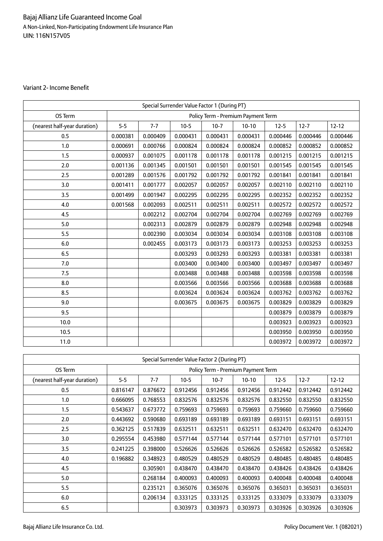### Variant 2- Income Benefit

| Special Surrender Value Factor 1 (During PT) |          |          |          |          |                                    |          |          |           |  |
|----------------------------------------------|----------|----------|----------|----------|------------------------------------|----------|----------|-----------|--|
| OS Term                                      |          |          |          |          | Policy Term - Premium Payment Term |          |          |           |  |
| (nearest half-year duration)                 | $5 - 5$  | $7 - 7$  | $10 - 5$ | $10-7$   | $10-10$                            | $12 - 5$ | $12 - 7$ | $12 - 12$ |  |
| 0.5                                          | 0.000381 | 0.000409 | 0.000431 | 0.000431 | 0.000431                           | 0.000446 | 0.000446 | 0.000446  |  |
| 1.0                                          | 0.000691 | 0.000766 | 0.000824 | 0.000824 | 0.000824                           | 0.000852 | 0.000852 | 0.000852  |  |
| 1.5                                          | 0.000937 | 0.001075 | 0.001178 | 0.001178 | 0.001178                           | 0.001215 | 0.001215 | 0.001215  |  |
| 2.0                                          | 0.001136 | 0.001345 | 0.001501 | 0.001501 | 0.001501                           | 0.001545 | 0.001545 | 0.001545  |  |
| 2.5                                          | 0.001289 | 0.001576 | 0.001792 | 0.001792 | 0.001792                           | 0.001841 | 0.001841 | 0.001841  |  |
| 3.0                                          | 0.001411 | 0.001777 | 0.002057 | 0.002057 | 0.002057                           | 0.002110 | 0.002110 | 0.002110  |  |
| 3.5                                          | 0.001499 | 0.001947 | 0.002295 | 0.002295 | 0.002295                           | 0.002352 | 0.002352 | 0.002352  |  |
| 4.0                                          | 0.001568 | 0.002093 | 0.002511 | 0.002511 | 0.002511                           | 0.002572 | 0.002572 | 0.002572  |  |
| 4.5                                          |          | 0.002212 | 0.002704 | 0.002704 | 0.002704                           | 0.002769 | 0.002769 | 0.002769  |  |
| 5.0                                          |          | 0.002313 | 0.002879 | 0.002879 | 0.002879                           | 0.002948 | 0.002948 | 0.002948  |  |
| 5.5                                          |          | 0.002390 | 0.003034 | 0.003034 | 0.003034                           | 0.003108 | 0.003108 | 0.003108  |  |
| 6.0                                          |          | 0.002455 | 0.003173 | 0.003173 | 0.003173                           | 0.003253 | 0.003253 | 0.003253  |  |
| 6.5                                          |          |          | 0.003293 | 0.003293 | 0.003293                           | 0.003381 | 0.003381 | 0.003381  |  |
| 7.0                                          |          |          | 0.003400 | 0.003400 | 0.003400                           | 0.003497 | 0.003497 | 0.003497  |  |
| 7.5                                          |          |          | 0.003488 | 0.003488 | 0.003488                           | 0.003598 | 0.003598 | 0.003598  |  |
| 8.0                                          |          |          | 0.003566 | 0.003566 | 0.003566                           | 0.003688 | 0.003688 | 0.003688  |  |
| 8.5                                          |          |          | 0.003624 | 0.003624 | 0.003624                           | 0.003762 | 0.003762 | 0.003762  |  |
| 9.0                                          |          |          | 0.003675 | 0.003675 | 0.003675                           | 0.003829 | 0.003829 | 0.003829  |  |
| 9.5                                          |          |          |          |          |                                    | 0.003879 | 0.003879 | 0.003879  |  |
| 10.0                                         |          |          |          |          |                                    | 0.003923 | 0.003923 | 0.003923  |  |
| 10.5                                         |          |          |          |          |                                    | 0.003950 | 0.003950 | 0.003950  |  |
| 11.0                                         |          |          |          |          |                                    | 0.003972 | 0.003972 | 0.003972  |  |

| Special Surrender Value Factor 2 (During PT) |          |          |          |                                    |          |          |          |           |  |  |
|----------------------------------------------|----------|----------|----------|------------------------------------|----------|----------|----------|-----------|--|--|
| OS Term                                      |          |          |          | Policy Term - Premium Payment Term |          |          |          |           |  |  |
| (nearest half-year duration)                 | $5-5$    | $7 - 7$  | $10-5$   | $10-7$                             | $10-10$  | $12 - 5$ | $12 - 7$ | $12 - 12$ |  |  |
| 0.5                                          | 0.816147 | 0.876672 | 0.912456 | 0.912456                           | 0.912456 | 0.912442 | 0.912442 | 0.912442  |  |  |
| 1.0                                          | 0.666095 | 0.768553 | 0.832576 | 0.832576                           | 0.832576 | 0.832550 | 0.832550 | 0.832550  |  |  |
| 1.5                                          | 0.543637 | 0.673772 | 0.759693 | 0.759693                           | 0.759693 | 0.759660 | 0.759660 | 0.759660  |  |  |
| 2.0                                          | 0.443692 | 0.590680 | 0.693189 | 0.693189                           | 0.693189 | 0.693151 | 0.693151 | 0.693151  |  |  |
| 2.5                                          | 0.362125 | 0.517839 | 0.632511 | 0.632511                           | 0.632511 | 0.632470 | 0.632470 | 0.632470  |  |  |
| 3.0                                          | 0.295554 | 0.453980 | 0.577144 | 0.577144                           | 0.577144 | 0.577101 | 0.577101 | 0.577101  |  |  |
| 3.5                                          | 0.241225 | 0.398000 | 0.526626 | 0.526626                           | 0.526626 | 0.526582 | 0.526582 | 0.526582  |  |  |
| 4.0                                          | 0.196882 | 0.348923 | 0.480529 | 0.480529                           | 0.480529 | 0.480485 | 0.480485 | 0.480485  |  |  |
| 4.5                                          |          | 0.305901 | 0.438470 | 0.438470                           | 0.438470 | 0.438426 | 0.438426 | 0.438426  |  |  |
| 5.0                                          |          | 0.268184 | 0.400093 | 0.400093                           | 0.400093 | 0.400048 | 0.400048 | 0.400048  |  |  |
| 5.5                                          |          | 0.235121 | 0.365076 | 0.365076                           | 0.365076 | 0.365031 | 0.365031 | 0.365031  |  |  |
| 6.0                                          |          | 0.206134 | 0.333125 | 0.333125                           | 0.333125 | 0.333079 | 0.333079 | 0.333079  |  |  |
| 6.5                                          |          |          | 0.303973 | 0.303973                           | 0.303973 | 0.303926 | 0.303926 | 0.303926  |  |  |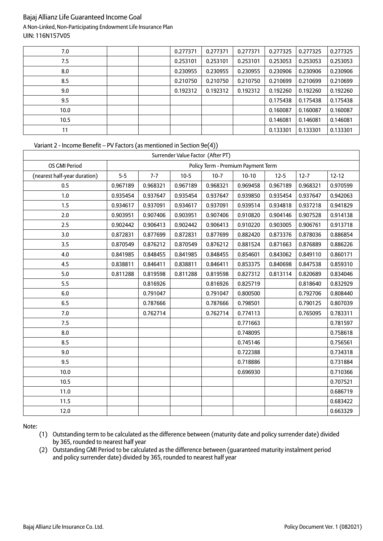| 7.0  |  | 0.277371 | 0.277371 | 0.277371 | 0.277325 | 0.277325 | 0.277325 |
|------|--|----------|----------|----------|----------|----------|----------|
| 7.5  |  | 0.253101 | 0.253101 | 0.253101 | 0.253053 | 0.253053 | 0.253053 |
| 8.0  |  | 0.230955 | 0.230955 | 0.230955 | 0.230906 | 0.230906 | 0.230906 |
| 8.5  |  | 0.210750 | 0.210750 | 0.210750 | 0.210699 | 0.210699 | 0.210699 |
| 9.0  |  | 0.192312 | 0.192312 | 0.192312 | 0.192260 | 0.192260 | 0.192260 |
| 9.5  |  |          |          |          | 0.175438 | 0.175438 | 0.175438 |
| 10.0 |  |          |          |          | 0.160087 | 0.160087 | 0.160087 |
| 10.5 |  |          |          |          | 0.146081 | 0.146081 | 0.146081 |
| 11   |  |          |          |          | 0.133301 | 0.133301 | 0.133301 |

### Variant 2 - Income Benefit – PV Factors (as mentioned in Section 9e(4))

| Surrender Value Factor (After PT) |          |          |          |          |                                    |          |          |           |
|-----------------------------------|----------|----------|----------|----------|------------------------------------|----------|----------|-----------|
| OS GMI Period                     |          |          |          |          | Policy Term - Premium Payment Term |          |          |           |
| (nearest half-year duration)      | $5-5$    | $7 - 7$  | $10 - 5$ | $10-7$   | $10-10$                            | $12 - 5$ | $12 - 7$ | $12 - 12$ |
| 0.5                               | 0.967189 | 0.968321 | 0.967189 | 0.968321 | 0.969458                           | 0.967189 | 0.968321 | 0.970599  |
| 1.0                               | 0.935454 | 0.937647 | 0.935454 | 0.937647 | 0.939850                           | 0.935454 | 0.937647 | 0.942063  |
| 1.5                               | 0.934617 | 0.937091 | 0.934617 | 0.937091 | 0.939514                           | 0.934818 | 0.937218 | 0.941829  |
| 2.0                               | 0.903951 | 0.907406 | 0.903951 | 0.907406 | 0.910820                           | 0.904146 | 0.907528 | 0.914138  |
| 2.5                               | 0.902442 | 0.906413 | 0.902442 | 0.906413 | 0.910220                           | 0.903005 | 0.906761 | 0.913718  |
| 3.0                               | 0.872831 | 0.877699 | 0.872831 | 0.877699 | 0.882420                           | 0.873376 | 0.878036 | 0.886854  |
| 3.5                               | 0.870549 | 0.876212 | 0.870549 | 0.876212 | 0.881524                           | 0.871663 | 0.876889 | 0.886226  |
| 4.0                               | 0.841985 | 0.848455 | 0.841985 | 0.848455 | 0.854601                           | 0.843062 | 0.849110 | 0.860171  |
| 4.5                               | 0.838811 | 0.846411 | 0.838811 | 0.846411 | 0.853375                           | 0.840698 | 0.847538 | 0.859310  |
| 5.0                               | 0.811288 | 0.819598 | 0.811288 | 0.819598 | 0.827312                           | 0.813114 | 0.820689 | 0.834046  |
| 5.5                               |          | 0.816926 |          | 0.816926 | 0.825719                           |          | 0.818640 | 0.832929  |
| 6.0                               |          | 0.791047 |          | 0.791047 | 0.800500                           |          | 0.792706 | 0.808440  |
| 6.5                               |          | 0.787666 |          | 0.787666 | 0.798501                           |          | 0.790125 | 0.807039  |
| 7.0                               |          | 0.762714 |          | 0.762714 | 0.774113                           |          | 0.765095 | 0.783311  |
| 7.5                               |          |          |          |          | 0.771663                           |          |          | 0.781597  |
| 8.0                               |          |          |          |          | 0.748095                           |          |          | 0.758618  |
| 8.5                               |          |          |          |          | 0.745146                           |          |          | 0.756561  |
| 9.0                               |          |          |          |          | 0.722388                           |          |          | 0.734318  |
| 9.5                               |          |          |          |          | 0.718886                           |          |          | 0.731884  |
| 10.0                              |          |          |          |          | 0.696930                           |          |          | 0.710366  |
| 10.5                              |          |          |          |          |                                    |          |          | 0.707521  |
| 11.0                              |          |          |          |          |                                    |          |          | 0.686719  |
| 11.5                              |          |          |          |          |                                    |          |          | 0.683422  |
| 12.0                              |          |          |          |          |                                    |          |          | 0.663329  |

Note:

(1) Outstanding term to be calculated as the difference between (maturity date and policy surrender date) divided by 365, rounded to nearest half year

(2) Outstanding GMI Period to be calculated as the difference between (guaranteed maturity instalment period and policy surrender date) divided by 365, rounded to nearest half year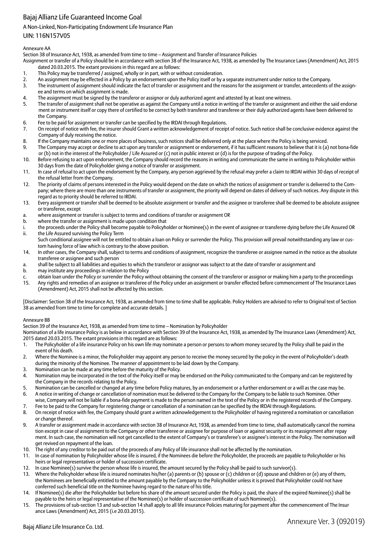### A Non-Linked, Non-Participating Endowment Life Insurance Plan

### UIN: 116N157V05

### Annexure AA

Section 38 of Insurance Act, 1938, as amended from time to time – Assignment and Transfer of Insurance Policies

Assignment or transfer of a Policy should be in accordance with section 38 of the Insurance Act, 1938, as amended by The Insurance Laws (Amendment) Act, 2015 dated 20.03.2015. The extant provisions in this regard are as follows:

- 1. This Policy may be transferred / assigned, wholly or in part, with or without consideration.
- 2. An assignment may be effected in a Policy by an endorsement upon the Policy itself or by a separate instrument under notice to the Company.
- 3. The instrument of assignment should indicate the fact of transfer or assignment and the reasons for the assignment or transfer, antecedents of the assignee and terms on which assignment is made.
- 4. The assignment must be signed by the transferor or assignor or duly authorized agent and attested by at least one witness.
- 5. The transfer of assignment shall not be operative as against the Company until a notice in writing of the transfer or assignment and either the said endorse ment or instrument itself or copy there of certified to be correct by both transferor and transferee or their duly authorized agents have been delivered to the Company.
- 6. Fee to be paid for assignment or transfer can be specified by the IRDAI through Regulations.
- 7. On receipt of notice with fee, the insurer should Grant a written acknowledgement of receipt of notice. Such notice shall be conclusive evidence against the Company of duly receiving the notice.
- 8. If the Company maintains one or more places of business, such notices shall be delivered only at the place where the Policy is being serviced.
- 9. The Company may accept or decline to act upon any transfer or assignment or endorsement, if it has sufficient reasons to believe that it is (a) not bona-fide or (b) not in the interest of the Policyholder / Life Assured or (c) not in public interest or (d) is for the purpose of trading of the Policy.
- 10. Before refusing to act upon endorsement, the Company should record the reasons in writing and communicate the same in writing to Policyholder within 30 days from the date of Policyholder giving a notice of transfer or assignment.
- 11. In case of refusal to act upon the endorsement by the Company, any person aggrieved by the refusal may prefer a claim to IRDAI within 30 days of receipt of the refusal letter from the Company.
- 12. The priority of claims of persons interested in the Policy would depend on the date on which the notices of assignment or transfer is delivered to the Company; where there are more than one instruments of transfer or assignment, the priority will depend on dates of delivery of such notices. Any dispute in this regard as to priority should be referred to IRDAI.
- 13. Every assignment or transfer shall be deemed to be absolute assignment or transfer and the assignee or transferee shall be deemed to be absolute assignee or transferee, except
- a. where assignment or transfer is subject to terms and conditions of transfer or assignment OR
- b. where the transfer or assignment is made upon condition that
- i. the proceeds under the Policy shall become payable to Policyholder or Nominee(s) in the event of assignee or transferee dying before the Life Assured OR ii. the Life Assured surviving the Policy Term
- Such conditional assignee will not be entitled to obtain a loan on Policy or surrender the Policy. This provision will prevail notwithstanding any law or custom having force of law which is contrary to the above position.
- 14. In other cases, the Company shall, subject to terms and conditions of assignment, recognize the transferee or assignee named in the notice as the absolute transferee or assignee and such person
- a. shall be subject to all liabilities and equities to which the transferor or assignor was subject to at the date of transfer or assignment and
- b. may institute any proceedings in relation to the Policy
- c. obtain loan under the Policy or surrender the Policy without obtaining the consent of the transferor or assignor or making him a party to the proceedings
- 15. Any rights and remedies of an assignee or transferee of the Policy under an assignment or transfer effected before commencement of The Insurance Laws (Amendment) Act, 2015 shall not be affected by this section.

[Disclaimer: Section 38 of the Insurance Act, 1938, as amended from time to time shall be applicable. Policy Holders are advised to refer to Original text of Section 38 as amended from time to time for complete and accurate details. ]

### Annexure BB

Section 39 of the Insurance Act, 1938, as amended from time to time – Nomination by Policyholder

- Nomination of a life insurance Policy is as below in accordance with Section 39 of the Insurance Act, 1938, as amended by The Insurance Laws (Amendment) Act, 2015 dated 20.03.2015. The extant provisions in this regard are as follows:
- 1. The Policyholder of a life insurance Policy on his own life may nominate a person or persons to whom money secured by the Policy shall be paid in the event of his death.
- 2. Where the Nominee is a minor, the Policyholder may appoint any person to receive the money secured by the policy in the event of Policyholder's death during the minority of the Nominee. The manner of appointment to be laid down by the Company.
- Nomination can be made at any time before the maturity of the Policy.
- 4. Nomination may be incorporated in the text of the Policy itself or may be endorsed on the Policy communicated to the Company and can be registered by the Company in the records relating to the Policy.
- 5. Nomination can be cancelled or changed at any time before Policy matures, by an endorsement or a further endorsement or a will as the case may be.
- 6. A notice in writing of change or cancellation of nomination must be delivered to the Company for the Company to be liable to such Nominee. Other wise, Company will not be liable if a bona-fide payment is made to the person named in the text of the Policy or in the registered records of the Company.
- 7. Fee to be paid to the Company for registering change or cancellation of a nomination can be specified by the IRDAI through Regulations.
- 8. On receipt of notice with fee, the Company should grant a written acknowledgement to the Policyholder of having registered a nomination or cancellation or change thereof.
- 9. A transfer or assignment made in accordance with section 38 of Insurance Act, 1938, as amended from time to time, shall automatically cancel the nomina tion except in case of assignment to the Company or other transferee or assignee for purpose of loan or against security or its reassignment after repay ment. In such case, the nomination will not get cancelled to the extent of Company's or transferee's or assignee's interest in the Policy. The nomination will get revived on repayment of the loan.
- 10. The right of any creditor to be paid out of the proceeds of any Policy of life insurance shall not be affected by the nomination.
- 11. In case of nomination by Policyholder whose life is insured, if the Nominees die before the Policyholder, the proceeds are payable to Policyholder or his heirs or legal representatives or holder of succession certificate.
- 12. In case Nominee(s) survive the person whose life is insured, the amount secured by the Policy shall be paid to such survivor(s).
- 13. Where the Policyholder whose life is insured nominates his/her (a) parents or (b) spouse or (c) children or (d) spouse and children or (e) any of them, the Nominees are beneficially entitled to the amount payable by the Company to the Policyholder unless it is proved that Policyholder could not have conferred such beneficial title on the Nominee having regard to the nature of his title.
- 14. If Nominee(s) die after the Policyholder but before his share of the amount secured under the Policy is paid, the share of the expired Nominee(s) shall be payable to the heirs or legal representative of the Nominee(s) or holder of succession certificate of such Nominee(s).
- 15. The provisions of sub-section 13 and sub-section 14 shall apply to all life insurance Policies maturing for payment after the commencement of The Insur ance Laws (Amendment) Act, 2015 (i.e 20.03.2015).